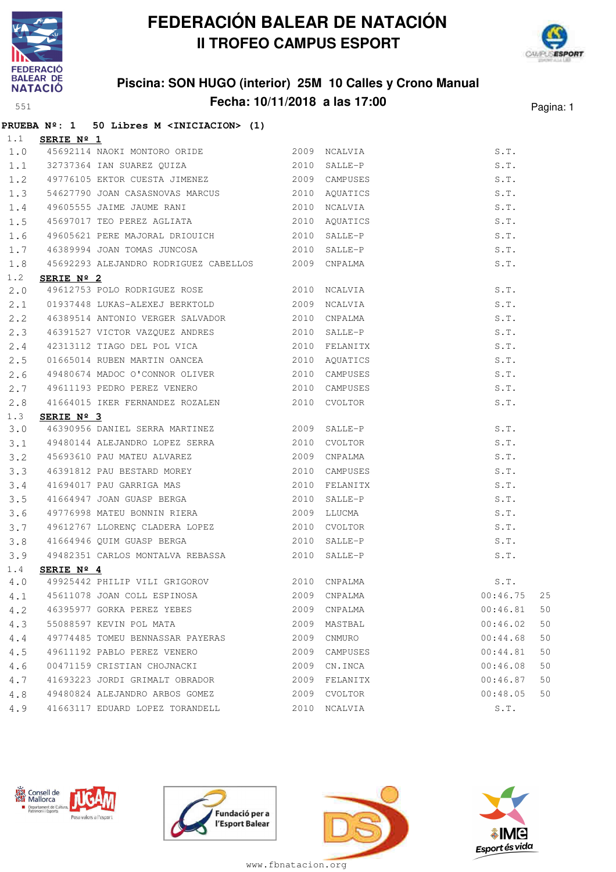



### **Piscina: SON HUGO (interior) 25M 10 Calles y Crono Manual Fecha: 10/11/2018 a las 17:00** Pagina: 1

|             | PRUEBA Nº: 1 50 Libres M <iniciacion> (1)</iniciacion> |      |               |                |    |
|-------------|--------------------------------------------------------|------|---------------|----------------|----|
|             | $1.1$ SERIE Nº 1                                       |      |               |                |    |
| 1.0         | 45692114 NAOKI MONTORO ORIDE                           |      | 2009 NCALVIA  | S.T.           |    |
|             | 1.1 32737364 IAN SUAREZ QUIZA 2010                     |      | SALLE-P       | S.T.           |    |
|             | 1.2 49776105 EKTOR CUESTA JIMENEZ                      |      | 2009 CAMPUSES | S.T.           |    |
| 1.3         | 54627790 JOAN CASASNOVAS MARCUS 2010 AQUATICS          |      |               | S.T.           |    |
| 1.4         | 49605555 JAIME JAUME RANI                              |      | 2010 NCALVIA  | S.T.           |    |
| 1.5         |                                                        |      | AQUATICS      | S.T.           |    |
| 1.6         | 49605621 PERE MAJORAL DRIOUICH 2010                    |      | SALLE-P       | S.T.           |    |
| 1.7         | 46389994 JOAN TOMAS JUNCOSA                            |      | 2010 SALLE-P  | S.T.           |    |
| 1.8         | 45692293 ALEJANDRO RODRIGUEZ CABELLOS 2009 CNPALMA     |      |               | S.T.           |    |
| 1.2         | SERIE Nº 2                                             |      |               |                |    |
| 2.0         | 49612753 POLO RODRIGUEZ ROSE 2010 NCALVIA              |      |               | S.T.           |    |
| 2.1         | 01937448 LUKAS-ALEXEJ BERKTOLD 2009                    |      | NCALVIA       | S.T.           |    |
| $2 \cdot 2$ | 46389514 ANTONIO VERGER SALVADOR                       |      | 2010 CNPALMA  | S.T.           |    |
| $2 \cdot 3$ | 46391527 VICTOR VAZQUEZ ANDRES 2010 SALLE-P            |      |               | S.T.           |    |
| 2.4         | 42313112 TIAGO DEL POL VICA $2010$ FELANITX            |      |               | S.T.           |    |
| 2.5         | 01665014 RUBEN MARTIN OANCEA 2010                      |      | AQUATICS      | S.T.           |    |
| 2.6         | 49480674 MADOC O'CONNOR OLIVER                         |      | 2010 CAMPUSES | S.T.           |    |
| 2.7         | 49611193 PEDRO PEREZ VENERO 2010 CAMPUSES              |      |               | S.T.           |    |
| 2.8         | 41664015 IKER FERNANDEZ ROZALEN                        |      | 2010 CVOLTOR  | S.T.           |    |
| 1.3         | SERIE Nº 3                                             |      |               |                |    |
| 3.0         | 46390956 DANIEL SERRA MARTINEZ                         |      | 2009 SALLE-P  | S.T.           |    |
| 3.1         | 49480144 ALEJANDRO LOPEZ SERRA                         |      | 2010 CVOLTOR  | S.T.           |    |
| 3.2         | 45693610 PAU MATEU ALVAREZ                             |      | 2009 CNPALMA  | S.T.           |    |
| 3.3         | 46391812 PAU BESTARD MOREY                             | 2010 | CAMPUSES      | S.T.           |    |
| 3.4         | 41694017 PAU GARRIGA MAS<br>41664947 JOAN GUASP BERGA  | 2010 | FELANITX      | S.T.           |    |
| 3.5         |                                                        | 2010 | SALLE-P       | S.T.           |    |
| 3.6         | 49776998 MATEU BONNIN RIERA 2009 LLUCMA                |      |               | S.T.           |    |
| 3.7         | 49612767 LLORENÇ CLADERA LOPEZ 2010 CVOLTOR            |      |               | S.T.           |    |
| 3.8         | 41664946 QUIM GUASP BERGA                              |      | 2010 SALLE-P  | S.T.           |    |
| 3.9         | 49482351 CARLOS MONTALVA REBASSA 2010 SALLE-P          |      |               | S.T.           |    |
| 1.4         | SERIE Nº 4                                             |      |               |                |    |
|             | 4.0 49925442 PHILIP VILI GRIGOROV                      |      | 2010 CNPALMA  | S.T.           |    |
| 4.1         | 45611078 JOAN COLL ESPINOSA                            |      | 2009 CNPALMA  | 25<br>00:46.75 |    |
| 4.2         | 46395977 GORKA PEREZ YEBES                             |      | 2009 CNPALMA  | 00:46.81       | 50 |
| 4.3         | 55088597 KEVIN POL MATA                                | 2009 | MASTBAL       | 00:46.02       | 50 |
| 4.4         | 49774485 TOMEU BENNASSAR PAYERAS                       | 2009 | CNMURO        | 00:44.68       | 50 |
| 4.5         | 49611192 PABLO PEREZ VENERO                            | 2009 | CAMPUSES      | 00:44.81       | 50 |
| 4.6         | 00471159 CRISTIAN CHOJNACKI                            | 2009 | CN.INCA       | 00:46.08       | 50 |
| 4.7         | 41693223 JORDI GRIMALT OBRADOR                         | 2009 | FELANITX      | 00:46.87       | 50 |
| 4.8         | 49480824 ALEJANDRO ARBOS GOMEZ                         |      | 2009 CVOLTOR  | 00:48.05       | 50 |
| 4.9         | 41663117 EDUARD LOPEZ TORANDELL                        |      | 2010 NCALVIA  | S.T.           |    |







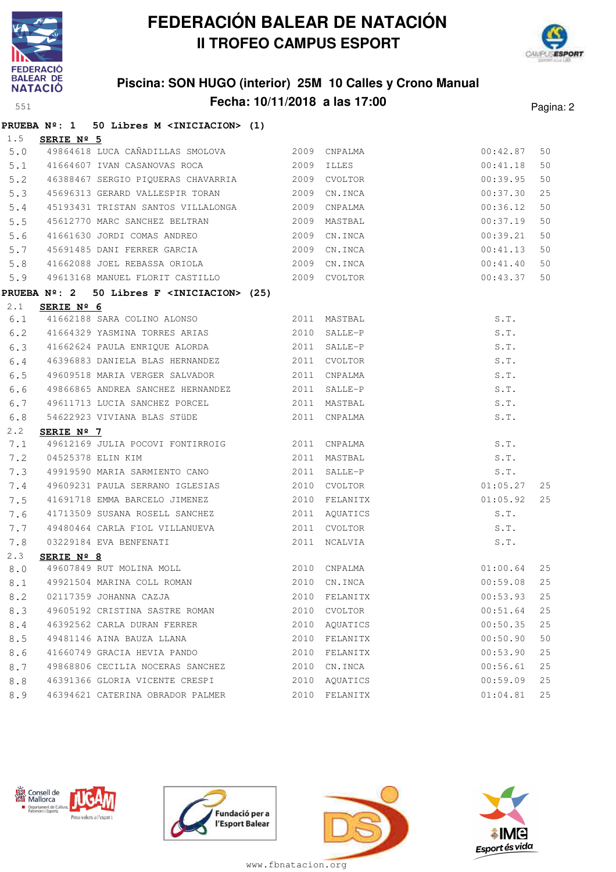

# **FEDERACIÓN BALEAR DE NATACIÓN II TROFEO CAMPUS ESPORT**



|     | <b>BALEAR DE</b>    | NATACIÓ Piscina: SON HUGO (interior) 25M 10 Calles y Crono Manual |      |                               |          |           |
|-----|---------------------|-------------------------------------------------------------------|------|-------------------------------|----------|-----------|
| 551 |                     |                                                                   |      | Fecha: 10/11/2018 a las 17:00 |          | Pagina: 2 |
|     |                     | PRUEBA $N^{\circ}$ : 1 50 Libres M <iniciacion> (1)</iniciacion>  |      |                               |          |           |
| 1.5 | SERIE $N^{\circ}$ 5 |                                                                   |      |                               |          |           |
| 5.0 |                     | 49864618 LUCA CAÑADILLAS SMOLOVA                                  | 2009 | CNPALMA                       | 00:42.87 | 50        |
| 5.1 |                     | 41664607 IVAN CASANOVAS ROCA                                      | 2009 | ILLES                         | 00:41.18 | 50        |
| 5.2 |                     | 46388467 SERGIO PIQUERAS CHAVARRIA                                | 2009 | CVOLTOR                       | 00:39.95 | 50        |
| 5.3 |                     | 45696313 GERARD VALLESPIR TORAN                                   | 2009 | CN.INCA                       | 00:37.30 | 25        |
| 5.4 |                     | 45193431 TRISTAN SANTOS VILLALONGA 2009                           |      | CNPALMA                       | 00:36.12 | 50        |
| 5.5 |                     | 45612770 MARC SANCHEZ BELTRAN                                     | 2009 | MASTBAL                       | 00:37.19 | 50        |
| 5.6 |                     | 41661630 JORDI COMAS ANDREO                                       | 2009 | CN.INCA                       | 00:39.21 | 50        |
| 5.7 |                     | 45691485 DANI FERRER GARCIA                                       | 2009 | CN.INCA                       | 00:41.13 | 50        |
| 5.8 |                     | 41662088 JOEL REBASSA ORIOLA                                      | 2009 | CN.INCA                       | 00:41.40 | 50        |
| 5.9 |                     | 49613168 MANUEL FLORIT CASTILLO                                   |      | 2009 CVOLTOR                  | 00:43.37 | 50        |
|     | <b>PRUEBA Nº: 2</b> | 50 Libres F <iniciacion> (25)</iniciacion>                        |      |                               |          |           |
| 2.1 | SERIE Nº 6          |                                                                   |      |                               |          |           |
| 6.1 |                     | 41662188 SARA COLINO ALONSO                                       |      | 2011 MASTBAL                  | S.T.     |           |
| 6.2 |                     | 41664329 YASMINA TORRES ARIAS                                     | 2010 | SALLE-P                       | S.T.     |           |
| 6.3 |                     | 41662624 PAULA ENRIQUE ALORDA                                     | 2011 | SALLE-P                       | S.T.     |           |
| 6.4 |                     | 46396883 DANIELA BLAS HERNANDEZ                                   | 2011 | CVOLTOR                       | S.T.     |           |
| 6.5 |                     | 49609518 MARIA VERGER SALVADOR                                    | 2011 | CNPALMA                       | S.T.     |           |
| 6.6 |                     | 49866865 ANDREA SANCHEZ HERNANDEZ                                 | 2011 | SALLE-P                       | S.T.     |           |
| 6.7 |                     | 49611713 LUCIA SANCHEZ PORCEL                                     | 2011 | MASTBAL                       | S.T.     |           |
| 6.8 |                     | 54622923 VIVIANA BLAS STÜDE                                       | 2011 | CNPALMA                       | S.T.     |           |
| 2.2 | SERIE $N^{\circ}$ 7 |                                                                   |      |                               |          |           |
| 7.1 |                     | 49612169 JULIA POCOVI FONTIRROIG                                  | 2011 | CNPALMA                       | S.T.     |           |
| 7.2 |                     | 04525378 ELIN KIM                                                 | 2011 | MASTBAL                       | S.T.     |           |
| 7.3 |                     | 49919590 MARIA SARMIENTO CANO                                     | 2011 | SALLE-P                       | S.T.     |           |
| 7.4 |                     | 49609231 PAULA SERRANO IGLESIAS                                   | 2010 | CVOLTOR                       | 01:05.27 | 25        |
| 7.5 |                     | 41691718 EMMA BARCELO JIMENEZ                                     | 2010 | FELANITX                      | 01:05.92 | 25        |
| 7.6 |                     | 41713509 SUSANA ROSELL SANCHEZ                                    | 2011 | AQUATICS                      | S.T.     |           |
| 7.7 |                     | 49480464 CARLA FIOL VILLANUEVA                                    | 2011 | CVOLTOR                       | S.T.     |           |
| 7.8 |                     | 03229184 EVA BENFENATI                                            |      | 2011 NCALVIA                  | S.T.     |           |
| 2.3 | SERIE Nº 8          |                                                                   |      |                               |          |           |
| 8.0 |                     | 49607849 RUT MOLINA MOLL                                          | 2010 | CNPALMA                       | 01:00.64 | 25        |
| 8.1 |                     | 49921504 MARINA COLL ROMAN                                        | 2010 | CN.INCA                       | 00:59.08 | 25        |
| 8.2 |                     | 02117359 JOHANNA CAZJA                                            | 2010 | FELANITX                      | 00:53.93 | 25        |
| 8.3 |                     | 49605192 CRISTINA SASTRE ROMAN                                    | 2010 | CVOLTOR                       | 00:51.64 | 25        |
| 8.4 |                     | 46392562 CARLA DURAN FERRER                                       | 2010 | AQUATICS                      | 00:50.35 | 25        |
| 8.5 |                     | 49481146 AINA BAUZA LLANA                                         | 2010 | FELANITX                      | 00:50.90 | 50        |
| 8.6 |                     | 41660749 GRACIA HEVIA PANDO                                       | 2010 | FELANITX                      | 00:53.90 | 25        |
| 8.7 |                     | 49868806 CECILIA NOCERAS SANCHEZ                                  |      | 2010 CN.INCA                  | 00:56.61 | 25        |









www.fbnatacion.org

8.8 46391366 GLORIA VICENTE CRESPI 2010 AQUATICS 00:59.09 25 8.9 46394621 CATERINA OBRADOR PALMER 2010 FELANITX 01:04.81 25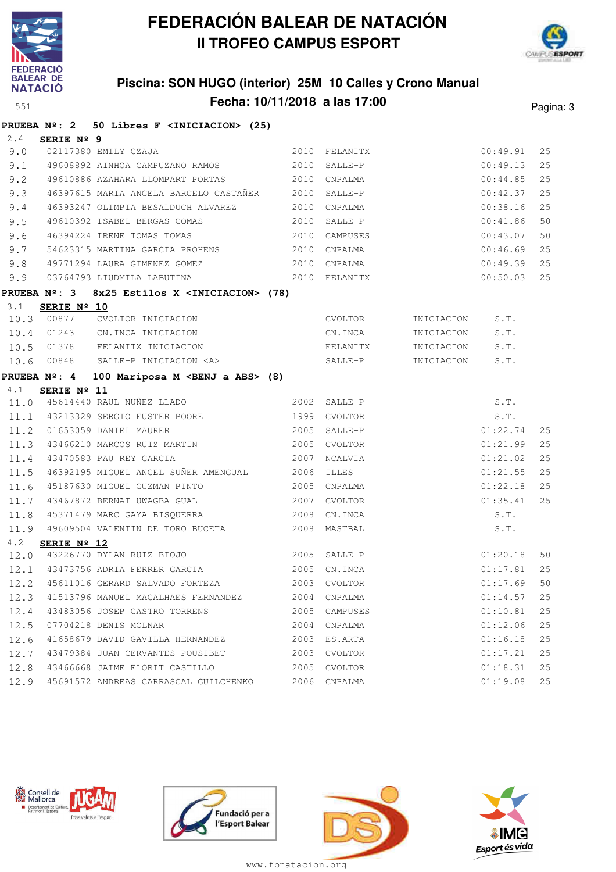



## **Piscina: SON HUGO (interior) 25M 10 Calles y Crono Manual Fecha: 10/11/2018 a las 17:00** Pagina: 3

|      | PRUEBA Nº: 2 50 Libres F <iniciacion> (25)</iniciacion>                                                                                   |      |               |                 |          |    |
|------|-------------------------------------------------------------------------------------------------------------------------------------------|------|---------------|-----------------|----------|----|
| 2.4  | SERIE Nº 9                                                                                                                                |      |               |                 |          |    |
| 9.0  | 02117380 EMILY CZAJA                                                                                                                      |      | 2010 FELANITX |                 | 00:49.91 | 25 |
|      | 9.1 49608892 AINHOA CAMPUZANO RAMOS                                                                                                       | 2010 | SALLE-P       |                 | 00:49.13 | 25 |
| 9.2  | 49610886 AZAHARA LLOMPART PORTAS 2010                                                                                                     |      | CNPALMA       |                 | 00:44.85 | 25 |
| 9.3  | 46397615 MARIA ANGELA BARCELO CASTAÑER 2010                                                                                               |      | SALLE-P       |                 | 00:42.37 | 25 |
| 9.4  | 46393247 OLIMPIA BESALDUCH ALVAREZ 2010                                                                                                   |      | CNPALMA       |                 | 00:38.16 | 25 |
| 9.5  | 49610392 ISABEL BERGAS COMAS 2010                                                                                                         |      | SALLE-P       |                 | 00:41.86 | 50 |
| 9.6  | 46394224 IRENE TOMAS TOMAS                                                                                                                | 2010 | CAMPUSES      |                 | 00:43.07 | 50 |
| 9.7  | 54623315 MARTINA GARCIA PROHENS 2010                                                                                                      |      | CNPALMA       |                 | 00:46.69 | 25 |
| 9.8  | 49771294 LAURA GIMENEZ GOMEZ 2010                                                                                                         |      | CNPALMA       |                 | 00:49.39 | 25 |
| 9.9  | 03764793 LIUDMILA LABUTINA (2010 FELANITX                                                                                                 |      |               |                 | 00:50.03 | 25 |
|      | PRUEBA Nº: 3 8x25 Estilos X <iniciacion> (78)</iniciacion>                                                                                |      |               |                 |          |    |
| 3.1  | SERIE Nº 10                                                                                                                               |      |               |                 |          |    |
|      |                                                                                                                                           |      | CVOLTOR       | INICIACION      | S.T.     |    |
|      |                                                                                                                                           |      | CN.INCA       | INICIACION      | S.T.     |    |
|      | 10.3 00877 CVOLTOR INICIACION<br>10.4 01243 CN.INCA INICIACION<br>10.5 01378 FELANITX INICIACION<br>10.6 00848 SALLE-P INICIACION <a></a> |      | FELANITX      | INICIACION S.T. |          |    |
| 10.6 |                                                                                                                                           |      | $SALLE-P$     | INICIACION      | S.T.     |    |
|      | <b>PRUEBA</b> $N^{\circ}$ : 4<br>100 Mariposa M <benj a="" abs=""> (8)</benj>                                                             |      |               |                 |          |    |
| 4.1  | SERIE Nº 11<br>11.0 45614440 RAUL NUÑEZ LLADO                                                                                             |      |               |                 |          |    |
|      |                                                                                                                                           |      | 2002 SALLE-P  |                 | S.T.     |    |
|      | 11.1 43213329 SERGIO FUSTER POORE                                                                                                         |      | 1999 CVOLTOR  |                 | S.T.     |    |
| 11.2 | 01653059 DANIEL MAURER                                                                                                                    |      | 2005 SALLE-P  | 01:22.74        |          | 25 |
| 11.3 | 43466210 MARCOS RUIZ MARTIN                                                                                                               |      | 2005 CVOLTOR  |                 | 01:21.99 | 25 |
|      | 2007 NCALVIA<br>11.4 43470583 PAU REY GARCIA                                                                                              |      |               |                 | 01:21.02 | 25 |
| 11.5 | 46392195 MIGUEL ANGEL SUÑER AMENGUAL 2006 ILLES                                                                                           |      |               |                 | 01:21.55 | 25 |
| 11.6 | 45187630 MIGUEL GUZMAN PINTO                                                                                                              |      | 2005 CNPALMA  |                 | 01:22.18 | 25 |
| 11.7 | 43467872 BERNAT UWAGBA GUAL                                                                                                               |      | 2007 CVOLTOR  |                 | 01:35.41 | 25 |
| 11.8 | 45371479 MARC GAYA BISQUERRA 2008 CN.INCA                                                                                                 |      |               |                 | S.T.     |    |
|      | 11.9 49609504 VALENTIN DE TORO BUCETA 2008 MASTBAL                                                                                        |      |               |                 | S.T.     |    |
| 4.2  | SERIE $N^{\circ}$ 12                                                                                                                      |      |               |                 |          |    |
|      | 12.0 43226770 DYLAN RUIZ BIOJO 2005 SALLE-P                                                                                               |      |               |                 | 01:20.18 | 50 |
|      | 12.1 43473756 ADRIA FERRER GARCIA                                                                                                         | 2005 | CN.INCA       |                 | 01:17.81 | 25 |
| 12.2 | 45611016 GERARD SALVADO FORTEZA                                                                                                           | 2003 | CVOLTOR       |                 | 01:17.69 | 50 |
| 12.3 | 41513796 MANUEL MAGALHAES FERNANDEZ                                                                                                       | 2004 | CNPALMA       |                 | 01:14.57 | 25 |
| 12.4 | 43483056 JOSEP CASTRO TORRENS                                                                                                             | 2005 | CAMPUSES      |                 | 01:10.81 | 25 |
| 12.5 | 07704218 DENIS MOLNAR                                                                                                                     | 2004 | CNPALMA       |                 | 01:12.06 | 25 |
| 12.6 | 41658679 DAVID GAVILLA HERNANDEZ                                                                                                          | 2003 | ES.ARTA       |                 | 01:16.18 | 25 |
| 12.7 | 43479384 JUAN CERVANTES POUSIBET                                                                                                          | 2003 | CVOLTOR       |                 | 01:17.21 | 25 |
| 12.8 | 43466668 JAIME FLORIT CASTILLO                                                                                                            | 2005 | CVOLTOR       |                 | 01:18.31 | 25 |
| 12.9 | 45691572 ANDREAS CARRASCAL GUILCHENKO                                                                                                     | 2006 | CNPALMA       |                 | 01:19.08 | 25 |







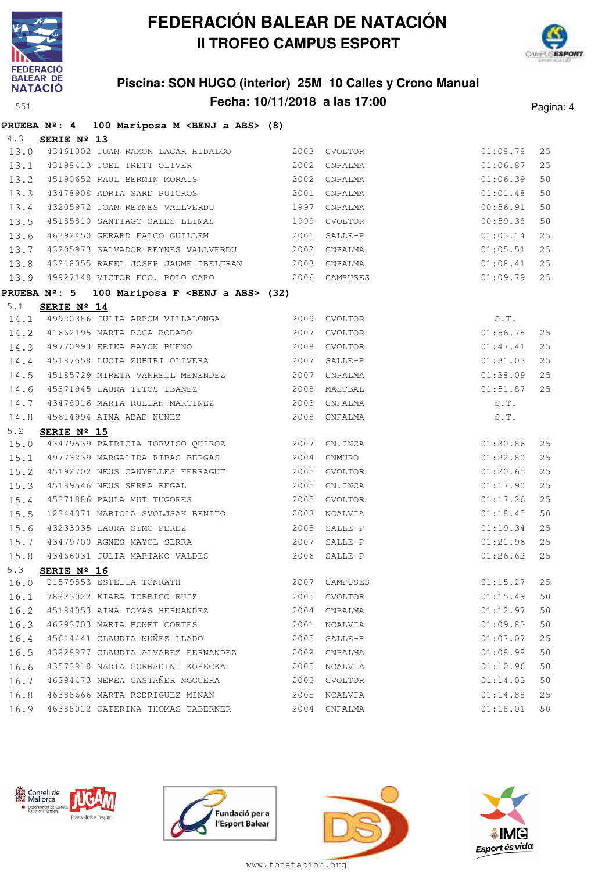



## **Piscina: SON HUGO (interior) 25M 10 Calles y Crono Manual Fecha: 10/11/2018 a las 17:00** Pagina: 4

|      | <b>PRUEBA Nº: 4</b> | 100 Mariposa M <benj a="" abs=""> (8)</benj>                                       |      |               |          |    |
|------|---------------------|------------------------------------------------------------------------------------|------|---------------|----------|----|
| 4.3  | SERIE Nº 13         |                                                                                    |      |               |          |    |
|      |                     | 13.0 43461002 JUAN RAMON LAGAR HIDALGO                                             |      | 2003 CVOLTOR  | 01:08.78 | 25 |
|      |                     | 13.1 43198413 JOEL TRETT OLIVER                                                    | 2002 | CNPALMA       | 01:06.87 | 25 |
| 13.2 |                     | 45190652 RAUL BERMIN MORAIS                                                        | 2002 | CNPALMA       | 01:06.39 | 50 |
|      |                     | 13.3 43478908 ADRIA SARD PUIGROS 2001 CNPALMA                                      |      |               | 01:01.48 | 50 |
|      |                     | 13.4 43205972 JOAN REYNES VALLVERDU                                                |      | 1997 CNPALMA  | 00:56.91 | 50 |
|      |                     | 13.5 45185810 SANTIAGO SALES LLINAS 1999 CVOLTOR                                   |      |               | 00:59.38 | 50 |
| 13.6 |                     | 46392450 GERARD FALCO GUILLEM                                                      | 2001 | SALLE-P       | 01:03.14 | 25 |
| 13.7 |                     | 43205973 SALVADOR REYNES VALLVERDU 62002 CNPALMA                                   |      |               | 01:05.51 | 25 |
|      |                     | 13.8 43218055 RAFEL JOSEP JAUME IBELTRAN 2003 CNPALMA                              |      |               | 01:08.41 | 25 |
|      |                     | 13.9 49927148 VICTOR FCO. POLO CAPO 2006 CAMPUSES                                  |      |               | 01:09.79 | 25 |
|      | PRUEBA Nº: 5        | 100 Mariposa F <benj a="" abs=""> (32)</benj>                                      |      |               |          |    |
| 5.1  | SERIE Nº 14         |                                                                                    |      |               |          |    |
|      |                     | 14.1 49920386 JULIA ARROM VILLALONGA                                               |      | 2009 CVOLTOR  | S.T.     |    |
|      |                     | 14.2 41662195 MARTA ROCA RODADO                                                    | 2007 | CVOLTOR       | 01:56.75 | 25 |
|      |                     | 14.3 49770993 ERIKA BAYON BUENO                                                    | 2008 | CVOLTOR       | 01:47.41 | 25 |
|      |                     | 14.4 45187558 LUCIA ZUBIRI OLIVERA                                                 | 2007 | SALLE-P       | 01:31.03 | 25 |
|      |                     | 14.5 45185729 MIREIA VANRELL MENENDEZ<br>45371945 LAURA TITOS IBAÑEZ 2008          | 2007 | CNPALMA       | 01:38.09 | 25 |
| 14.6 |                     |                                                                                    |      | MASTBAL       | 01:51.87 | 25 |
|      |                     | 14.7 43478016 MARIA RULLAN MARTINEZ 2003 CNPALMA                                   |      |               | S.T.     |    |
|      |                     | 2008 CNPALMA<br>14.8 45614994 AINA ABAD NUÑEZ                                      |      |               | S.T.     |    |
| 5.2  | SERIE Nº 15         | 15.0 43479539 PATRICIA TORVISO QUIROZ 2007 CN.INCA                                 |      |               | 01:30.86 | 25 |
|      |                     |                                                                                    |      | CNMURO        | 01:22.80 | 25 |
| 15.2 |                     | 15.1 49773239 MARGALIDA RIBAS BERGAS 2004<br>45192702 NEUS CANYELLES FERRAGUT 2005 |      | CVOLTOR       | 01:20.65 | 25 |
|      |                     | 15.3 45189546 NEUS SERRA REGAL                                                     | 2005 | CN.INCA       | 01:17.90 | 25 |
|      |                     | 15.4 45371886 PAULA MUT TUGORES                                                    |      | 2005 CVOLTOR  | 01:17.26 | 25 |
| 15.5 |                     | 12344371 MARIOLA SVOLJSAK BENITO                                                   |      | 2003 NCALVIA  | 01:18.45 | 50 |
| 15.6 |                     | 43233035 LAURA SIMO PEREZ                                                          |      | 2005 SALLE-P  | 01:19.34 | 25 |
|      |                     | 15.7 43479700 AGNES MAYOL SERRA 2007 SALLE-P                                       |      |               | 01:21.96 | 25 |
|      |                     | 15.8 43466031 JULIA MARIANO VALDES                                                 |      | 2006 SALLE-P  | 01:26.62 | 25 |
| 5.3  | SERIE Nº 16         |                                                                                    |      |               |          |    |
| 16.0 |                     | 01579553 ESTELLA TONRATH                                                           |      | 2007 CAMPUSES | 01:15.27 | 25 |
| 16.1 |                     | 78223022 KIARA TORRICO RUIZ                                                        | 2005 | CVOLTOR       | 01:15.49 | 50 |
| 16.2 |                     | 45184053 AINA TOMAS HERNANDEZ                                                      | 2004 | CNPALMA       | 01:12.97 | 50 |
| 16.3 |                     | 46393703 MARIA BONET CORTES                                                        | 2001 | NCALVIA       | 01:09.83 | 50 |
| 16.4 |                     | 45614441 CLAUDIA NUÑEZ LLADO                                                       |      | 2005 SALLE-P  | 01:07.07 | 25 |
| 16.5 |                     | 43228977 CLAUDIA ALVAREZ FERNANDEZ                                                 | 2002 | CNPALMA       | 01:08.98 | 50 |
| 16.6 |                     | 43573918 NADIA CORRADINI KOPECKA                                                   | 2005 | NCALVIA       | 01:10.96 | 50 |
|      |                     | 16.7 46394473 NEREA CASTAÑER NOGUERA                                               | 2003 | CVOLTOR       | 01:14.03 | 50 |
| 16.8 |                     | 46388666 MARTA RODRIGUEZ MIÑAN                                                     |      | 2005 NCALVIA  | 01:14.88 | 25 |
|      |                     | 16.9 46388012 CATERINA THOMAS TABERNER 2004 CNPALMA                                |      |               | 01:18.01 | 50 |







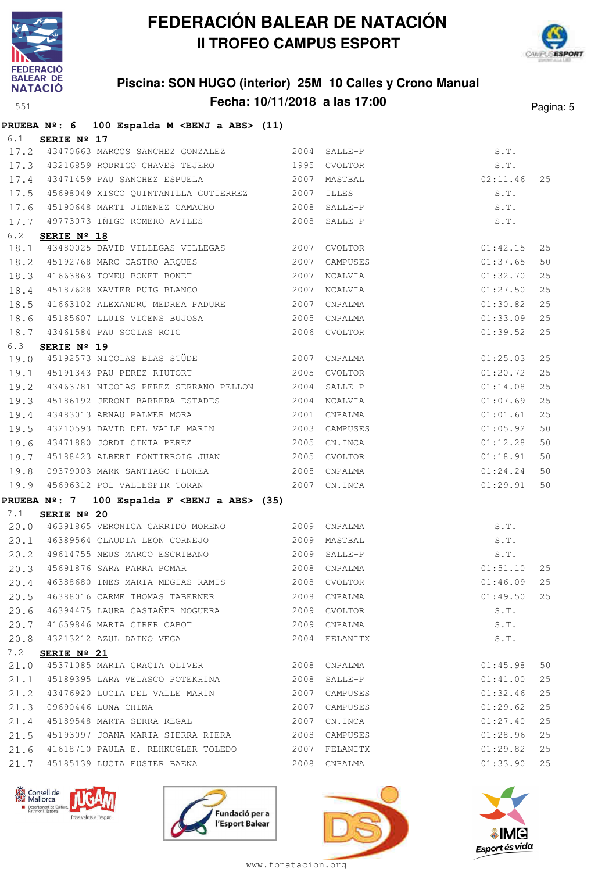



## **Piscina: SON HUGO (interior) 25M 10 Calles y Crono Manual Fecha: 10/11/2018 a las 17:00** Pagina: 5

|              |                        | PRUEBA Nº: 6 100 Espalda M <benj a="" abs=""> (11)</benj>                                                 |              |                          |               |                      |          |
|--------------|------------------------|-----------------------------------------------------------------------------------------------------------|--------------|--------------------------|---------------|----------------------|----------|
|              | 6.1 <b>SERIE Nº 17</b> |                                                                                                           |              |                          |               |                      |          |
|              |                        | 17.2 43470663 MARCOS SANCHEZ GONZALEZ 2004 SALLE-P                                                        |              |                          |               | S.T.                 |          |
|              |                        | 17.3 43216859 RODRIGO CHAVES TEJERO 1995 CVOLTOR                                                          |              |                          |               | S.T.                 |          |
|              |                        | 17.4 43471459 PAU SANCHEZ ESPUELA 2007                                                                    |              | MASTBAL                  | $02:11.46$ 25 |                      |          |
|              |                        | 17.5 45698049 XISCO QUINTANILLA GUTIERREZ 2007 ILLES                                                      |              |                          |               | S.T.                 |          |
|              |                        | 17.6 45190648 MARTI JIMENEZ CAMACHO 2008 SALLE-P                                                          |              |                          |               | S.T.                 |          |
|              |                        | 17.7 49773073 IÑIGO ROMERO AVILES 2008                                                                    |              | SALLE-P                  |               | S.T.                 |          |
| 6.2          | SERIE Nº 18            |                                                                                                           |              |                          |               |                      |          |
|              |                        | 18.1 43480025 DAVID VILLEGAS VILLEGAS 2007                                                                |              | CVOLTOR                  |               | 01:42.15             | 25       |
|              |                        | 18.1 19100029 20012 1222<br>18.2 45192768 MARC CASTRO ARQUES 2007<br>18.3 41663863 TOMEU BONET BONET 2007 | 2007         | CAMPUSES                 |               | 01:37.65             | 50       |
|              |                        |                                                                                                           |              | NCALVIA                  |               | 01:32.70             | 25       |
| 18.4         |                        | 45187628 XAVIER PUIG BLANCO 2007                                                                          |              | NCALVIA                  |               | 01:27.50             | 25       |
| 18.5         |                        | 41663102 ALEXANDRU MEDREA PADURE 2007                                                                     |              | CNPALMA                  |               | 01:30.82             | 25       |
| 18.6         |                        | 45185607 LLUIS VICENS BUJOSA<br>10161511                                                                  |              | 2005 CNPALMA             |               | 01:33.09             | 25       |
|              |                        | 18.7 43461584 PAU SOCIAS ROIG 2006 CVOLTOR                                                                |              |                          |               | 01:39.52             | 25       |
| 6.3          | SERIE Nº 19            |                                                                                                           |              |                          |               |                      |          |
| 19.0         |                        | 45192573 NICOLAS BLAS STÜDE 2007                                                                          |              | CNPALMA                  |               | 01:25.03             | 25       |
|              |                        | 19.1 45191343 PAU PEREZ RIUTORT 2005                                                                      |              | CVOLTOR                  |               | 01:20.72             | 25       |
| 19.2         |                        | 43463781 NICOLAS PEREZ SERRANO PELLON 2004                                                                |              | SALLE-P                  |               | 01:14.08             | 25       |
| 19.3         |                        | 45186192 JERONI BARRERA ESTADES 2004                                                                      |              | NCALVIA                  |               | 01:07.69             | 25       |
| 19.4         |                        | 43483013 ARNAU PALMER MORA 2001                                                                           |              | CNPALMA                  |               | 01:01.61             | 25       |
| 19.5         |                        | 43210593 DAVID DEL VALLE MARIN 2003 CAMPUSES                                                              |              |                          |               | 01:05.92             | 50       |
| 19.6         |                        | 43471880 JORDI CINTA PEREZ                                                                                |              | 2005 CN.INCA             |               | 01:12.28             | 50       |
| 19.7         |                        | 45188423 ALBERT FONTIRROIG JUAN 2005 CVOLTOR                                                              |              |                          |               | 01:18.91             | 50       |
| 19.8         |                        | 09379003 MARK SANTIAGO FLOREA 2005                                                                        |              | CNPALMA                  |               | 01:24.24             | 50       |
| 19.9         |                        | 45696312 POL VALLESPIR TORAN 2007 CN.INCA                                                                 |              |                          |               | 01:29.91             | 50       |
|              |                        | PRUEBA Nº: 7 100 Espalda F <benj a="" abs=""> (35)</benj>                                                 |              |                          |               |                      |          |
| 7.1          | SERIE Nº 20            |                                                                                                           |              |                          |               |                      |          |
|              |                        | 20.0 46391865 VERONICA GARRIDO MORENO 2009 CNPALMA                                                        |              |                          |               | S.T.                 |          |
|              |                        | 20.1 46389564 CLAUDIA LEON CORNEJO 2009 MASTBAL                                                           |              |                          | S.T.          |                      |          |
|              |                        | 20.2 49614755 NEUS MARCO ESCRIBANO (2009 SALLE-P)<br>20.3 45691876 SARA PARRA POMAR (2008 CNPALMA         |              | 2009 SALLE-P             |               | S.T.                 |          |
|              |                        |                                                                                                           |              |                          |               | 01:51.10             | 25       |
|              |                        | 20.4 46388680 INES MARIA MEGIAS RAMIS 2008 CVOLTOR                                                        |              |                          | $01:46.09$ 25 |                      |          |
|              |                        | 20.5 46388016 CARME THOMAS TABERNER 2008 CNPALMA                                                          |              |                          |               | 01:49.50 25          |          |
|              |                        | 20.6 46394475 LAURA CASTAÑER NOGUERA 2009 CVOLTOR                                                         |              |                          |               | S.T.                 |          |
|              |                        | 20.7 41659846 MARIA CIRER CABOT 2009                                                                      |              | CNPALMA                  |               | S.T.                 |          |
|              |                        | 20.8 43213212 AZUL DAINO VEGA                                                                             |              | 2004 FELANITX            |               | S.T.                 |          |
| 7.2          | SERIE Nº 21            | 45371085 MARIA GRACIA OLIVER 2008 CNPALMA                                                                 |              |                          |               |                      |          |
| 21.0         |                        | 45189395 LARA VELASCO POTEKHINA                                                                           |              | SALLE-P                  |               | 01:45.98             | 50       |
| 21.1<br>21.2 |                        | 43476920 LUCIA DEL VALLE MARIN                                                                            | 2008<br>2007 | CAMPUSES                 |               | 01:41.00<br>01:32.46 | 25<br>25 |
|              |                        | 09690446 LUNA CHIMA                                                                                       | 2007         |                          |               |                      |          |
| 21.3         |                        | 21.4 45189548 MARTA SERRA REGAL                                                                           |              | CAMPUSES<br>2007 CN.INCA |               | 01:29.62<br>01:27.40 | 25<br>25 |
| 21.5         |                        |                                                                                                           |              |                          |               | 01:28.96             | 25       |
| 21.6         |                        | 41618710 PAULA E. REHKUGLER TOLEDO 2007                                                                   |              | FELANITX                 |               | 01:29.82             | 25       |
|              |                        | 21.7 45185139 LUCIA FUSTER BAENA                                                                          | 2008         | CNPALMA                  |               | 01:33.90             | 25       |
|              |                        |                                                                                                           |              |                          |               |                      |          |







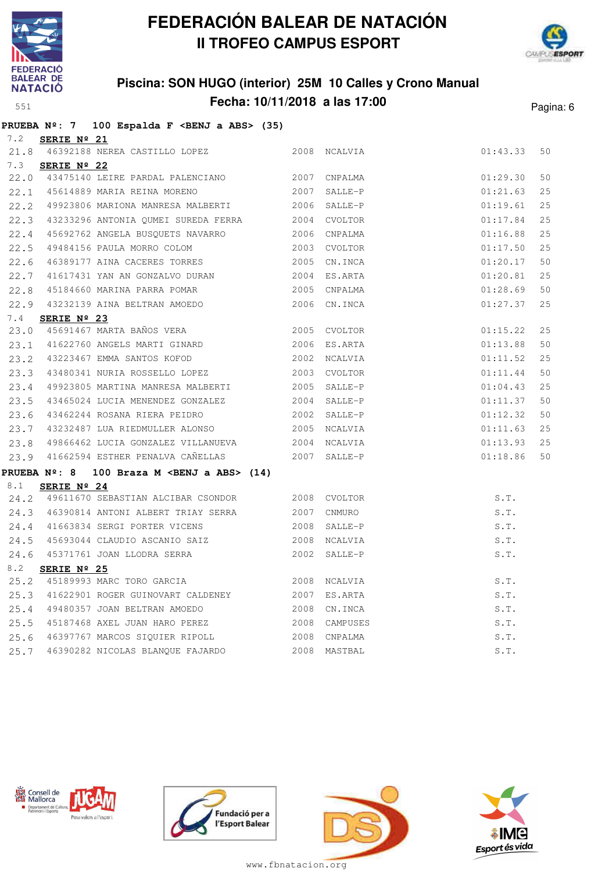



## **Piscina: SON HUGO (interior) 25M 10 Calles y Crono Manual Fecha: 10/11/2018 a las 17:00** Pagina: 6

|     |                      | PRUEBA Nº: 7 100 Espalda F <benj a="" abs=""> (35)</benj>                                |             |              |          |    |
|-----|----------------------|------------------------------------------------------------------------------------------|-------------|--------------|----------|----|
| 7.2 | SERIE Nº 21          |                                                                                          |             |              |          |    |
|     |                      | 21.8 46392188 NEREA CASTILLO LOPEZ 2008 NCALVIA                                          |             |              | 01:43.33 | 50 |
| 7.3 | SERIE $N^{\circ}$ 22 |                                                                                          |             |              |          |    |
|     |                      | 22.0 43475140 LEIRE PARDAL PALENCIANO 2007 CNPALMA                                       |             |              | 01:29.30 | 50 |
|     |                      | 22.1 45614889 MARIA REINA MORENO 2007                                                    |             | SALLE-P      | 01:21.63 | 25 |
|     |                      | 22.2 49923806 MARIONA MANRESA MALBERTI 2006 SALLE-P                                      |             |              | 01:19.61 | 25 |
|     |                      | 22.3 43233296 ANTONIA QUMEI SUREDA FERRA 2004 CVOLTOR                                    |             |              | 01:17.84 | 25 |
|     |                      | 22.4 45692762 ANGELA BUSQUETS NAVARRO 2006 CNPALMA                                       |             |              | 01:16.88 | 25 |
|     |                      | 22.5 49484156 PAULA MORRO COLOM 2003 CVOLTOR                                             |             |              | 01:17.50 | 25 |
|     |                      | 22.6 46389177 AINA CACERES TORRES 2005 CN.INCA                                           |             |              | 01:20.17 | 50 |
|     |                      | 22.7 41617431 YAN AN GONZALVO DURAN 2004 ES.ARTA                                         |             |              | 01:20.81 | 25 |
|     |                      |                                                                                          |             |              | 01:28.69 | 50 |
|     |                      | 22.9 43232139 AINA BELTRAN AMOEDO 2006 CN.INCA                                           |             |              | 01:27.37 | 25 |
| 7.4 | SERIE $N^{\circ}$ 23 |                                                                                          |             |              |          |    |
|     |                      | 23.0 45691467 MARTA BAÑOS VERA<br>23.0 45691467 MARTA BAÑOS VERA 2005 CVOLTOR            |             |              | 01:15.22 | 25 |
|     |                      | 23.1 41622760 ANGELS MARTI GINARD                                                        |             | 2006 ES.ARTA | 01:13.88 | 50 |
|     |                      | 23.2 43223467 EMMA SANTOS KOFOD                                                          |             | 2002 NCALVIA | 01:11.52 | 25 |
|     |                      | 23.3 43480341 NURIA ROSSELLO LOPEZ                                                       |             | 2003 CVOLTOR | 01:11.44 | 50 |
|     |                      | 23.4 49923805 MARTINA MANRESA MALBERTI 2005 SALLE-P                                      |             |              | 01:04.43 | 25 |
|     |                      | 23.5 43465024 LUCIA MENENDEZ GONZALEZ 2004 SALLE-P                                       |             |              | 01:11.37 | 50 |
|     |                      |                                                                                          |             |              | 01:12.32 | 50 |
|     |                      | 23.7 43232487 LUA RIEDMULLER ALONSO 2005 NCALVIA                                         |             |              | 01:11.63 | 25 |
|     |                      | 23.8 49866462 LUCIA GONZALEZ VILLANUEVA 2004 NCALVIA                                     |             |              | 01:13.93 | 25 |
|     |                      | 23.9 41662594 ESTHER PENALVA CAÑELLAS 2007 SALLE-P                                       |             |              | 01:18.86 | 50 |
|     | <b>PRUEBA Nº: 8</b>  | 100 Braza M <benj a="" abs=""> <math>(14)</math></benj>                                  |             |              |          |    |
| 8.1 | SERIE $N^{\circ}$ 24 |                                                                                          |             |              |          |    |
|     |                      | 24.2 49611670 SEBASTIAN ALCIBAR CSONDOR 2008 CVOLTOR                                     |             |              | S.T.     |    |
|     |                      | 24.3 46390814 ANTONI ALBERT TRIAY SERRA                                                  | 2007 CNMURO |              | S.T.     |    |
|     |                      | 24.4 41663834 SERGI PORTER VICENS                                                        |             | 2008 SALLE-P | S.T.     |    |
|     |                      |                                                                                          |             | 2008 NCALVIA | S.T.     |    |
|     |                      | 24.5 45693044 CLAUDIO ASCANIO SAIZ<br>24.6 45371761 JOAN LLODRA SERRA<br>8.2 SERIE VOLLE |             | 2002 SALLE-P | S.T.     |    |
| 8.2 | SERIE Nº 25          |                                                                                          |             |              |          |    |
|     |                      | 25.2 45189993 MARC TORO GARCIA 2008 NCALVIA                                              |             |              | S.T.     |    |
|     |                      | 25.3 41622901 ROGER GUINOVART CALDENEY 2007 ES.ARTA                                      |             |              | S.T.     |    |
|     |                      | 25.4 49480357 JOAN BELTRAN AMOEDO 2008 CN.INCA                                           |             |              | S.T.     |    |
|     |                      | 25.5 45187468 AXEL JUAN HARO PEREZ 2008 CAMPUSES                                         |             |              | S.T.     |    |
|     |                      | 25.6 46397767 MARCOS SIQUIER RIPOLL 2008 CNPALMA                                         |             |              | S.T.     |    |
|     |                      | 25.7 46390282 NICOLAS BLANQUE FAJARDO                                                    |             | 2008 MASTBAL | S.T.     |    |







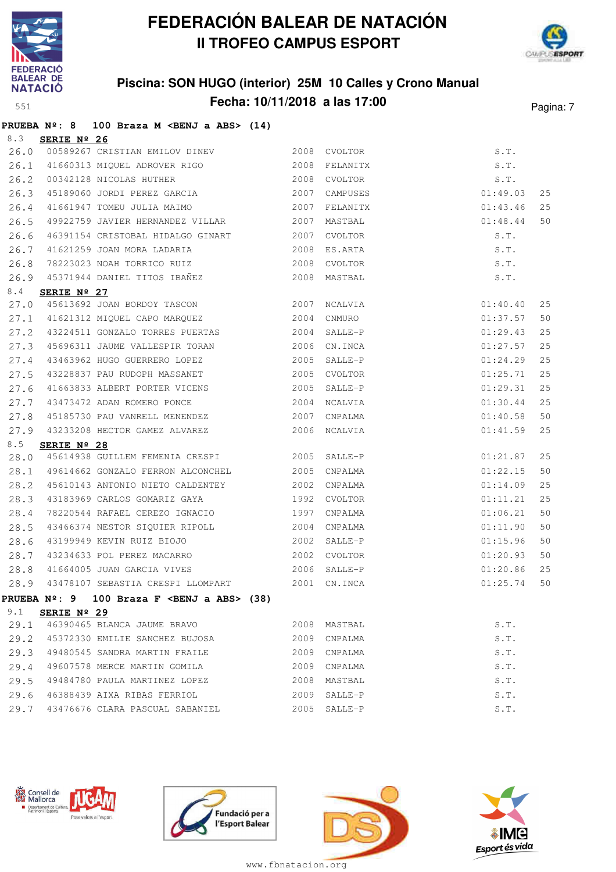



## **Piscina: SON HUGO (interior) 25M 10 Calles y Crono Manual Fecha: 10/11/2018 a las 17:00** Pagina: 7

|      |             | PRUEBA Nº: 8 100 Braza M <benj a="" abs=""> (14)</benj> |      |                |          |    |
|------|-------------|---------------------------------------------------------|------|----------------|----------|----|
| 8.3  | SERIE Nº 26 |                                                         |      |                |          |    |
| 26.0 |             | 00589267 CRISTIAN EMILOV DINEV 2008 CVOLTOR             |      |                | S.T.     |    |
| 26.1 |             |                                                         |      |                | S.T.     |    |
| 26.2 |             | 00342128 NICOLAS HUTHER 2008                            |      | CVOLTOR        | S.T.     |    |
| 26.3 |             | 45189060 JORDI PEREZ GARCIA 2007                        |      | CAMPUSES       | 01:49.03 | 25 |
| 26.4 |             | 41661947 TOMEU JULIA MAIMO 2007                         |      | FELANITX       | 01:43.46 | 25 |
| 26.5 |             | 49922759 JAVIER HERNANDEZ VILLAR 2007                   |      | MASTBAL        | 01:48.44 | 50 |
| 26.6 |             | 46391154 CRISTOBAL HIDALGO GINART 2007                  |      | CVOLTOR        | S.T.     |    |
| 26.7 |             | 41621259 JOAN MORA LADARIA<br>TARABER                   | 2008 | ES.ARTA        | S.T.     |    |
| 26.8 |             | 78223023 NOAH TORRICO RUIZ 2008                         |      | <b>CVOLTOR</b> | S.T.     |    |
| 26.9 |             | 45371944 DANIEL TITOS IBAÑEZ 6000 2008 MASTBAL          |      |                | S.T.     |    |
| 8.4  | SERIE Nº 27 |                                                         |      |                |          |    |
|      |             | 27.0 45613692 JOAN BORDOY TASCON 2007                   |      | NCALVIA        | 01:40.40 | 25 |
|      |             | 27.1 41621312 MIQUEL CAPO MARQUEZ                       | 2004 | CNMURO         | 01:37.57 | 50 |
|      |             | 27.2 43224511 GONZALO TORRES PUERTAS 2004               |      | SALLE-P        | 01:29.43 | 25 |
| 27.3 |             | 45696311 JAUME VALLESPIR TORAN 2006                     |      | CN.INCA        | 01:27.57 | 25 |
| 27.4 |             | 43463962 HUGO GUERRERO LOPEZ 2005                       |      | SALLE-P        | 01:24.29 | 25 |
| 27.5 |             | 43228837 PAU RUDOPH MASSANET                            | 2005 | CVOLTOR        | 01:25.71 | 25 |
| 27.6 |             | 41663833 ALBERT PORTER VICENS 2005                      |      | SALLE-P        | 01:29.31 | 25 |
| 27.7 |             | 43473472 ADAN ROMERO PONCE 2004                         |      | NCALVIA        | 01:30.44 | 25 |
| 27.8 |             | 45185730 PAU VANRELL MENENDEZ 2007                      |      | CNPALMA        | 01:40.58 | 50 |
| 27.9 |             | 43233208 HECTOR GAMEZ ALVAREZ                           |      | 2006 NCALVIA   | 01:41.59 | 25 |
| 8.5  | SERIE Nº 28 |                                                         |      |                |          |    |
| 28.0 |             | 45614938 GUILLEM FEMENIA CRESPI 2005                    |      | SALLE-P        | 01:21.87 | 25 |
| 28.1 |             | 49614662 GONZALO FERRON ALCONCHEL 2005                  |      | CNPALMA        | 01:22.15 | 50 |
| 28.2 |             | 45610143 ANTONIO NIETO CALDENTEY 2002                   |      | CNPALMA        | 01:14.09 | 25 |
| 28.3 |             | 43183969 CARLOS GOMARIZ GAYA                            | 1992 | CVOLTOR        | 01:11.21 | 25 |
| 28.4 |             | 78220544 RAFAEL CEREZO IGNACIO 1997                     |      | CNPALMA        | 01:06.21 | 50 |
| 28.5 |             | 43466374 NESTOR SIQUIER RIPOLL 2004                     |      | CNPALMA        | 01:11.90 | 50 |
| 28.6 |             |                                                         |      | SALLE-P        | 01:15.96 | 50 |
| 28.7 |             | 43234633 POL PEREZ MACARRO 2002                         |      | CVOLTOR        | 01:20.93 | 50 |
| 28.8 |             | 41664005 JUAN GARCIA VIVES 2006                         |      | SALLE-P        | 01:20.86 | 25 |
|      |             | 28.9 43478107 SEBASTIA CRESPI LLOMPART 2001 CN.INCA     |      |                | 01:25.74 | 50 |
|      |             | PRUEBA Nº: 9 100 Braza F <benj a="" abs=""> (38)</benj> |      |                |          |    |
| 9.1  | SERIE Nº 29 |                                                         |      |                |          |    |
|      |             | 29.1 46390465 BLANCA JAUME BRAVO                        |      | 2008 MASTBAL   | S.T.     |    |
|      |             | 29.2 45372330 EMILIE SANCHEZ BUJOSA                     | 2009 | CNPALMA        | S.T.     |    |
| 29.3 |             | 49480545 SANDRA MARTIN FRAILE                           | 2009 | CNPALMA        | S.T.     |    |
| 29.4 |             | 49607578 MERCE MARTIN GOMILA                            | 2009 | CNPALMA        | S.T.     |    |
| 29.5 |             | 49484780 PAULA MARTINEZ LOPEZ                           | 2008 | MASTBAL        | S.T.     |    |
|      |             | 29.6 46388439 AIXA RIBAS FERRIOL                        | 2009 | SALLE-P        | S.T.     |    |
|      |             | 29.7 43476676 CLARA PASCUAL SABANIEL                    | 2005 | SALLE-P        | S.T.     |    |







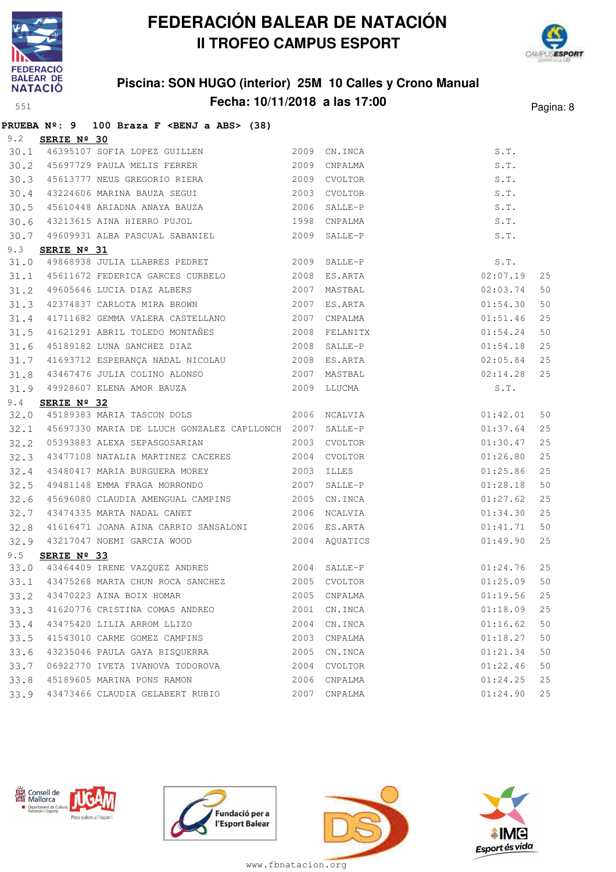



### **Piscina: SON HUGO (interior) 25M 10 Calles y Crono Manual Fecha: 10/11/2018 a las 17:00** Pagina: 8

|      |                      | PRUEBA $N^{\circ}$ : 9 100 Braza F <benj a="" abs=""> (38)</benj>                                     |      |                              |          |    |
|------|----------------------|-------------------------------------------------------------------------------------------------------|------|------------------------------|----------|----|
| 9.2  | SERIE Nº 30          |                                                                                                       |      |                              |          |    |
|      |                      | 30.1 46395107 SOFIA LOPEZ GUILLEN 2009 CN.INCA                                                        |      |                              | S.T.     |    |
|      |                      | 2009<br>30.2 45697729 PAULA MELIS FERRER                                                              |      | CNPALMA                      | S.T.     |    |
| 30.3 |                      | 45613777 NEUS GREGORIO RIERA 2009                                                                     |      | CVOLTOR                      | S.T.     |    |
| 30.4 |                      | 43224606 MARINA BAUZA SEGUI 2003                                                                      |      | CVOLTOR                      | S.T.     |    |
|      |                      | 30.5 45610448 ARIADNA ANAYA BAUZA                                                                     | 2006 | SALLE-P                      | S.T.     |    |
| 30.6 |                      | 43213615 AINA HIERRO PUJOL 1998                                                                       |      | CNPALMA                      | S.T.     |    |
| 30.7 |                      | 49609931 ALBA PASCUAL SABANIEL 2009                                                                   |      | SALLE-P                      | S.T.     |    |
| 9.3  | SERIE Nº 31          |                                                                                                       |      |                              |          |    |
| 31.0 |                      | 49868938 JULIA LLABRES PEDRET 2009                                                                    |      | SALLE-P                      |          |    |
|      |                      | 31.1 45611672 FEDERICA GARCES CURBELO 2008                                                            |      | $S.T.$<br>02:07 1<br>ES.ARTA | 02:07.19 | 25 |
| 31.2 |                      | 49605646 LUCIA DIAZ ALBERS 2007                                                                       |      | MASTBAL                      | 02:03.74 | 50 |
| 31.3 |                      | 42374837 CARLOTA MIRA BROWN 2007                                                                      |      | ES.ARTA                      | 01:54.30 | 50 |
| 31.4 |                      | 41711682 GEMMA VALERA CASTELLANO 2007                                                                 |      | CNPALMA                      | 01:51.46 | 25 |
| 31.5 |                      | 41621291 ABRIL TOLEDO MONTAÑES                                                                        |      | 2008 FELANITX                | 01:54.24 | 50 |
| 31.6 |                      | 45189182 LUNA SANCHEZ DIAZ 2008 SALLE-P                                                               |      |                              | 01:54.18 | 25 |
| 31.7 |                      |                                                                                                       |      |                              | 02:05.84 | 25 |
| 31.8 |                      | 43467476 JULIA COLINO ALONSO 2007                                                                     |      | MASTBAL                      | 02:14.28 | 25 |
|      |                      | 31.9 49928607 ELENA AMOR BAUZA 2009 LLUCMA                                                            |      |                              | S.T.     |    |
| 9.4  | SERIE $N^{\circ}$ 32 |                                                                                                       |      |                              |          |    |
| 32.0 |                      | 45189383 MARIA TASCON DOLS 2006 NCALVIA                                                               |      |                              | 01:42.01 | 50 |
|      |                      | 32.1 45697330 MARIA DE LLUCH GONZALEZ CAPLLONCH 2007                                                  |      | SALLE-P                      | 01:37.64 | 25 |
| 32.2 |                      | 05393883 ALEXA SEPASGOSARIAN 2003 CVOLTOR                                                             |      |                              | 01:30.47 | 25 |
| 32.3 |                      | 43477108 NATALIA MARTINEZ CACERES 2004 CVOLTOR                                                        |      |                              | 01:26.80 | 25 |
| 32.4 |                      | 43480417 MARIA BURGUERA MOREY 2003                                                                    |      | <b>ILLES</b>                 | 01:25.86 | 25 |
| 32.5 |                      | 49481148 EMMA FRAGA MORRONDO 2007                                                                     |      | SALLE-P                      | 01:28.18 | 50 |
| 32.6 |                      | 45696080 CLAUDIA AMENGUAL CAMPINS 2005                                                                |      | CN.INCA                      | 01:27.62 | 25 |
| 32.7 |                      | 43474335 MARTA NADAL CANET                                                                            | 2006 | NCALVIA                      | 01:34.30 | 25 |
| 32.8 |                      | 41616471 JOANA AINA CARRIO SANSALONI 2006 ES.ARTA                                                     |      |                              | 01:41.71 | 50 |
|      |                      | 32.9 43217047 NOEMI GARCIA WOOD 2004 AQUATICS                                                         |      |                              | 01:49.90 | 25 |
| 9.5  | SERIE Nº 33          |                                                                                                       |      |                              |          |    |
|      |                      | 33.0 43464409 IRENE VAZQUEZ ANDRES 2004 SALLE-P<br>33.1 43475268 MARTA CHUN ROCA SANCHEZ 2005 CVOLTOR |      |                              | 01:24.76 | 25 |
|      |                      |                                                                                                       |      |                              | 01:25.09 | 50 |
| 33.2 |                      | 43470223 AINA BOIX HOMAR                                                                              | 2005 | CNPALMA                      | 01:19.56 | 25 |
| 33.3 |                      | 41620776 CRISTINA COMAS ANDREO                                                                        | 2001 | CN.INCA                      | 01:18.09 | 25 |
| 33.4 |                      | 43475420 LILIA ARROM LLIZO                                                                            | 2004 | CN.INCA                      | 01:16.62 | 50 |
| 33.5 |                      | 41543010 CARME GOMEZ CAMPINS                                                                          | 2003 | CNPALMA                      | 01:18.27 | 50 |
| 33.6 |                      | 43235046 PAULA GAYA BISQUERRA                                                                         | 2005 | CN.INCA                      | 01:21.34 | 50 |
| 33.7 |                      | 06922770 IVETA IVANOVA TODOROVA                                                                       | 2004 | CVOLTOR                      | 01:22.46 | 50 |
| 33.8 |                      | 45189605 MARINA PONS RAMON                                                                            | 2006 | CNPALMA                      | 01:24.25 | 25 |
|      |                      | 33.9 43473466 CLAUDIA GELABERT RUBIO                                                                  |      | 2007 CNPALMA                 | 01:24.90 | 25 |







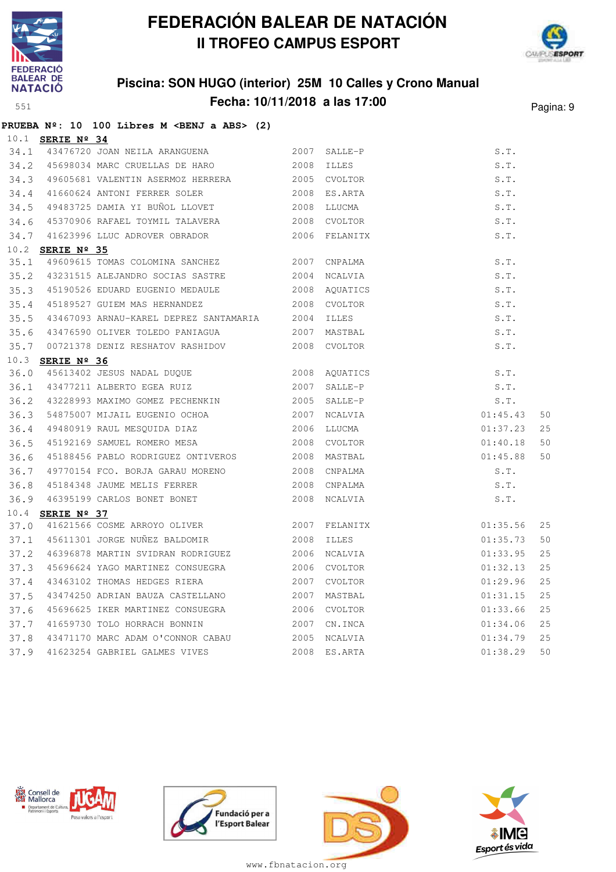

**PRUEBA Nº: 10 100 Libres M <BENJ a ABS> (2)**

# **FEDERACIÓN BALEAR DE NATACIÓN II TROFEO CAMPUS ESPORT**



## **Piscina: SON HUGO (interior) 25M 10 Calles y Crono Manual Fecha: 10/11/2018 a las 17:00** Pagina: 9

|      | 10.1 <b>SERIE Nº 34</b> |                                                    |      |              |          |    |
|------|-------------------------|----------------------------------------------------|------|--------------|----------|----|
|      |                         | 34.1 43476720 JOAN NEILA ARANGUENA 2007            |      | SALLE-P      | S.T.     |    |
|      |                         | 34.2 45698034 MARC CRUELLAS DE HARO 2008           |      | <b>ILLES</b> | S.T.     |    |
| 34.3 |                         | 49605681 VALENTIN ASERMOZ HERRERA 2005 CVOLTOR     |      |              | S.T.     |    |
| 34.4 |                         | 41660624 ANTONI FERRER SOLER 2008 ES.ARTA          |      |              | S.T.     |    |
| 34.5 |                         | 49483725 DAMIA YI BUÑOL LLOVET 2008 LLUCMA         |      |              | S.T.     |    |
| 34.6 |                         | 45370906 RAFAEL TOYMIL TALAVERA 2008               |      | CVOLTOR      | S.T.     |    |
| 34.7 |                         | 41623996 LLUC ADROVER OBRADOR 2006 FELANITX        |      |              | S.T.     |    |
|      | 10.2 <b>SERIE Nº 35</b> |                                                    |      |              |          |    |
| 35.1 |                         | 49609615 TOMAS COLOMINA SANCHEZ 2007               |      | CNPALMA      | S.T.     |    |
|      |                         | 35.2 43231515 ALEJANDRO SOCIAS SASTRE 2004 NCALVIA |      |              | S.T.     |    |
| 35.3 |                         | 45190526 EDUARD EUGENIO MEDAULE 2008 AQUATICS      |      |              | S.T.     |    |
| 35.4 |                         | 45189527 GUIEM MAS HERNANDEZ 2008                  |      | CVOLTOR      | S.T.     |    |
| 35.5 |                         | 43467093 ARNAU-KAREL DEPREZ SANTAMARIA 2004        |      | <b>ILLES</b> | S.T.     |    |
| 35.6 |                         |                                                    |      |              | S.T.     |    |
| 35.7 |                         | 00721378 DENIZ RESHATOV RASHIDOV 2008 CVOLTOR      |      |              | S.T.     |    |
| 10.3 | SERIE Nº 36             |                                                    |      |              |          |    |
| 36.0 |                         | 45613402 JESUS NADAL DUQUE 2008 AQUATICS           |      |              | S.T.     |    |
|      |                         | 36.1 43477211 ALBERTO EGEA RUIZ 2007               |      | SALLE-P      | S.T.     |    |
| 36.2 |                         | 43228993 MAXIMO GOMEZ PECHENKIN 2005 SALLE-P       |      |              | S.T.     |    |
| 36.3 |                         |                                                    |      |              | 01:45.43 | 50 |
| 36.4 |                         |                                                    |      |              | 01:37.23 | 25 |
| 36.5 |                         | 45192169 SAMUEL ROMERO MESA 2008 CVOLTOR           |      |              | 01:40.18 | 50 |
| 36.6 |                         | 45188456 PABLO RODRIGUEZ ONTIVEROS 2008 MASTBAL    |      |              | 01:45.88 | 50 |
| 36.7 |                         | 49770154 FCO. BORJA GARAU MORENO 2008              |      | CNPALMA      | S.T.     |    |
| 36.8 |                         | 45184348 JAUME MELIS FERRER 2008                   |      | CNPALMA      | S.T.     |    |
| 36.9 |                         | 46395199 CARLOS BONET BONET                        |      | 2008 NCALVIA | S.T.     |    |
|      | 10.4 SERIE Nº 37        |                                                    |      |              |          |    |
| 37.0 |                         | 41621566 COSME ARROYO OLIVER 2007 FELANITX         |      |              | 01:35.56 | 25 |
|      |                         | 37.1 45611301 JORGE NUÑEZ BALDOMIR                 | 2008 | ILLES        | 01:35.73 | 50 |
| 37.2 |                         | 46396878 MARTIN SVIDRAN RODRIGUEZ                  |      | 2006 NCALVIA | 01:33.95 | 25 |
| 37.3 |                         | 45696624 YAGO MARTINEZ CONSUEGRA 2006 CVOLTOR      |      |              | 01:32.13 | 25 |
| 37.4 |                         | 43463102 THOMAS HEDGES RIERA                       |      | 2007 CVOLTOR | 01:29.96 | 25 |
| 37.5 |                         | 43474250 ADRIAN BAUZA CASTELLANO                   | 2007 | MASTBAL      | 01:31.15 | 25 |
| 37.6 |                         | 45696625 IKER MARTINEZ CONSUEGRA 2006 CVOLTOR      |      |              | 01:33.66 | 25 |
| 37.7 |                         | 41659730 TOLO HORRACH BONNIN                       |      | 2007 CN.INCA | 01:34.06 | 25 |
| 37.8 |                         | 43471170 MARC ADAM O'CONNOR CABAU 2005 NCALVIA     |      |              | 01:34.79 | 25 |
| 37.9 |                         | 41623254 GABRIEL GALMES VIVES                      |      | 2008 ES.ARTA | 01:38.29 | 50 |







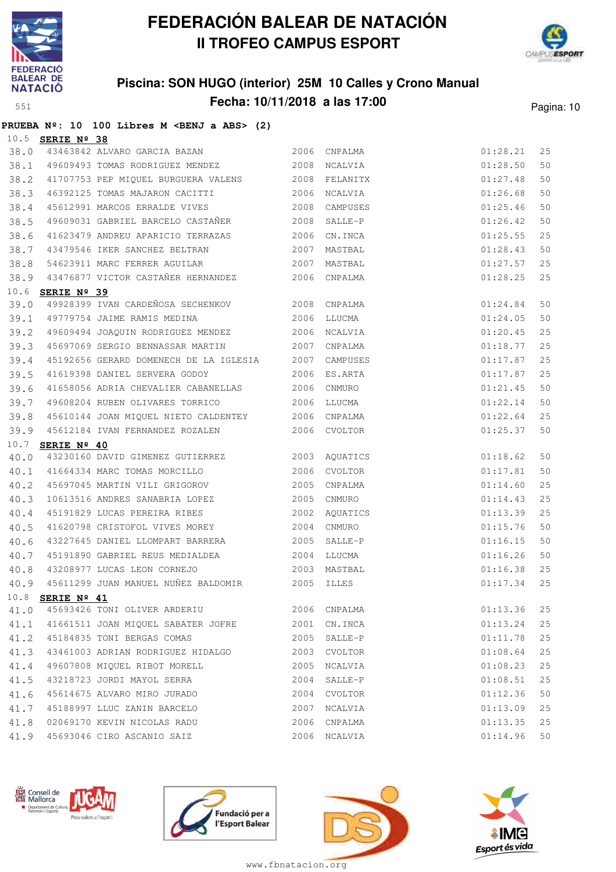



## **Piscina: SON HUGO (interior) 25M 10 Calles y Crono Manual Fecha: 10/11/2018 a las 17:00** Pagina: 10

|                    |  | PRUEBA Nº: 10 100 Libres M <benj a="" abs=""> (2)</benj> |  |  |  |
|--------------------|--|----------------------------------------------------------|--|--|--|
| $10.5$ SERIE Nº 38 |  |                                                          |  |  |  |

| 38.0 |                  | 43463842 ALVARO GARCIA BAZAN                            |      | 2006 CNPALMA                                         |          | 25 |
|------|------------------|---------------------------------------------------------|------|------------------------------------------------------|----------|----|
| 38.1 |                  | 49609493 TOMAS RODRIGUEZ MENDEZ 2008 NCALVIA            |      |                                                      |          | 50 |
| 38.2 |                  | 41707753 PEP MIQUEL BURGUERA VALENS 2008 FELANITX       |      |                                                      |          | 50 |
| 38.3 |                  | 46392125 TOMAS MAJARON CACITTI 2006 NCALVIA             |      | $01:28.21$<br>$01:28.50$<br>$01:27.48$<br>$01:26.68$ |          | 50 |
| 38.4 |                  | 45612991 MARCOS ERRALDE VIVES 2008 CAMPUSES             |      |                                                      | 01:25.46 | 50 |
| 38.5 |                  | 49609031 GABRIEL BARCELO CASTAÑER 2008                  |      | SALLE-P                                              | 01:26.42 | 50 |
| 38.6 |                  | 41623479 ANDREU APARICIO TERRAZAS 2006                  |      | CN.INCA                                              | 01:25.55 | 25 |
| 38.7 |                  | 43479546 IKER SANCHEZ BELTRAN 2007                      |      | MASTBAL                                              | 01:28.43 | 50 |
| 38.8 |                  | 54623911 MARC FERRER AGUILAR 2007 MASTBAL               |      |                                                      | 01:27.57 | 25 |
| 38.9 |                  | 43476877 VICTOR CASTAÑER HERNANDEZ 2006 CNPALMA         |      |                                                      | 01:28.25 | 25 |
|      | 10.6 SERIE Nº 39 |                                                         |      |                                                      |          |    |
| 39.0 |                  | 49928399 IVAN CARDEÑOSA SECHENKOV 2008 CNPALMA          |      |                                                      | 01:24.84 | 50 |
|      |                  | 39.1 49779754 JAIME RAMIS MEDINA 2006 LLUCMA            |      |                                                      | 01:24.05 | 50 |
| 39.2 |                  | 49609494 JOAQUIN RODRIGUEZ MENDEZ 2006 NCALVIA          |      |                                                      | 01:20.45 | 25 |
| 39.3 |                  | 45697069 SERGIO BENNASSAR MARTIN 2007 CNPALMA           |      |                                                      | 01:18.77 | 25 |
| 39.4 |                  | 45192656 GERARD DOMENECH DE LA IGLESIA 2007 CAMPUSES    |      |                                                      | 01:17.87 | 25 |
| 39.5 |                  | 41619398 DANIEL SERVERA GODOY 2006 ES.ARTA              |      |                                                      | 01:17.87 | 25 |
| 39.6 |                  | 41658056 ADRIA CHEVALIER CABANELLAS 2006 CNMURO         |      |                                                      | 01:21.45 | 50 |
| 39.7 |                  | 49608204 RUBEN OLIVARES TORRICO <a>&gt;</a> 2006 LLUCMA |      |                                                      | 01:22.14 | 50 |
| 39.8 |                  | 45610144 JOAN MIQUEL NIETO CALDENTEY 2006 CNPALMA       |      |                                                      | 01:22.64 | 25 |
| 39.9 |                  | 45612184 IVAN FERNANDEZ ROZALEN 2006 CVOLTOR            |      |                                                      | 01:25.37 | 50 |
|      | 10.7 SERIE Nº 40 |                                                         |      |                                                      |          |    |
| 40.0 |                  | 43230160 DAVID GIMENEZ GUTIERREZ 2003 AQUATICS          |      |                                                      | 01:18.62 | 50 |
| 40.1 |                  | 41664334 MARC TOMAS MORCILLO 2006                       |      | CVOLTOR                                              | 01:17.81 | 50 |
| 40.2 |                  | 45697045 MARTIN VILI GRIGOROV 2005                      |      | CNPALMA                                              | 01:14.60 | 25 |
| 40.3 |                  | 10613516 ANDRES SANABRIA LOPEZ 2005 CNMURO              |      |                                                      | 01:14.43 | 25 |
| 40.4 |                  | 45191829 LUCAS PEREIRA RIBES                            |      | 2002 AQUATICS                                        | 01:13.39 | 25 |
| 40.5 |                  | 41620798 CRISTOFOL VIVES MOREY 2004                     |      | CNMURO                                               | 01:15.76 | 50 |
| 40.6 |                  | 43227645 DANIEL LLOMPART BARRERA 2005 SALLE-P           |      |                                                      | 01:16.15 | 50 |
| 40.7 |                  | 45191890 GABRIEL REUS MEDIALDEA<br>$$\tt 2004$$ LLUCMA  |      |                                                      | 01:16.26 | 50 |
| 40.8 |                  | 43208977 LUCAS LEON CORNEJO                             |      | 2003 MASTBAL                                         | 01:16.38 | 25 |
| 40.9 |                  | 45611299 JUAN MANUEL NUÑEZ BALDOMIR 2005 ILLES          |      |                                                      | 01:17.34 | 25 |
|      | 10.8 SERIE Nº 41 |                                                         |      |                                                      |          |    |
|      |                  |                                                         |      |                                                      |          |    |
|      |                  | 41.1 41661511 JOAN MIQUEL SABATER JOFRE 2001 CN.INCA    |      |                                                      | 01:13.24 | 25 |
|      |                  | 41.2 45184835 TONI BERGAS COMAS                         |      | 2005 SALLE-P                                         | 01:11.78 | 25 |
| 41.3 |                  | 43461003 ADRIAN RODRIGUEZ HIDALGO 2003 CVOLTOR          |      |                                                      | 01:08.64 | 25 |
| 41.4 |                  | 49607808 MIOUEL RIBOT MORELL                            | 2005 | NCALVIA                                              | 01:08.23 | 25 |
| 41.5 |                  | 43218723 JORDI MAYOL SERRA                              | 2004 | SALLE-P                                              | 01:08.51 | 25 |
| 41.6 |                  | 45614675 ALVARO MIRO JURADO                             |      | 2004 CVOLTOR                                         | 01:12.36 | 50 |
| 41.7 |                  | 45188997 LLUC ZANIN BARCELO                             | 2007 | NCALVIA                                              | 01:13.09 | 25 |
| 41.8 |                  | 02069170 KEVIN NICOLAS RADU                             |      | 2006 CNPALMA                                         | 01:13.35 | 25 |
| 41.9 |                  | 45693046 CIRO ASCANIO SAIZ                              |      | 2006 NCALVIA                                         | 01:14.96 | 50 |
|      |                  |                                                         |      |                                                      |          |    |







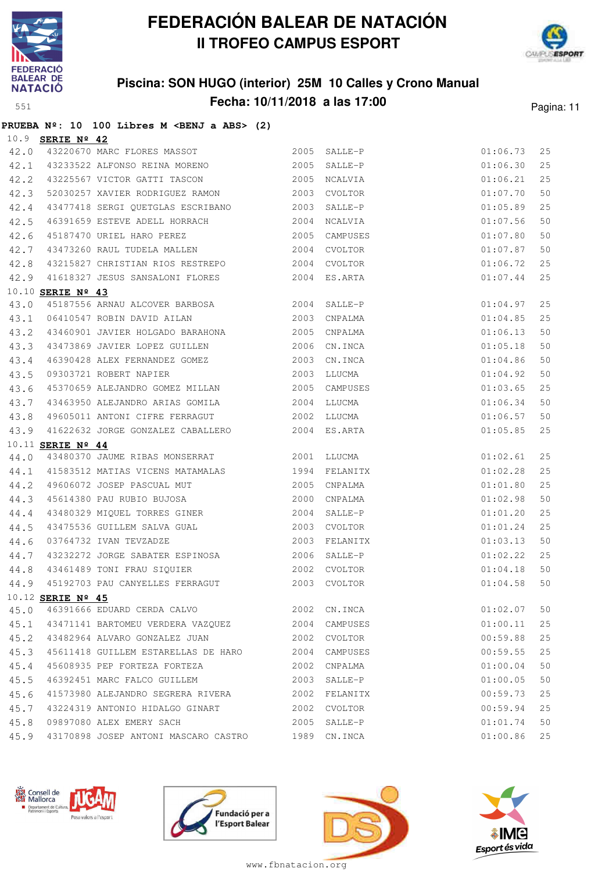

**PRUEBA Nº: 10 100 Libres M <BENJ a ABS> (2)**

# **FEDERACIÓN BALEAR DE NATACIÓN II TROFEO CAMPUS ESPORT**



## **Piscina: SON HUGO (interior) 25M 10 Calles y Crono Manual Fecha: 10/11/2018 a las 17:00** Pagina: 11

|      | 10.9 SERIE Nº 42  |                                                        |              |              |          |        |
|------|-------------------|--------------------------------------------------------|--------------|--------------|----------|--------|
|      |                   | 42.0 43220670 MARC FLORES MASSOT 2005 SALLE-P          |              |              | 01:06.73 | 25     |
|      |                   | 42.1 43233522 ALFONSO REINA MORENO 2005                |              | SALLE-P      | 01:06.30 | 25     |
|      |                   | 42.2 43225567 VICTOR GATTI TASCON 2005                 |              | NCALVIA      | 01:06.21 | 25     |
| 42.3 |                   | 52030257 XAVIER RODRIGUEZ RAMON 2003                   |              | CVOLTOR      | 01:07.70 | 50     |
| 42.4 |                   | 43477418 SERGI QUETGLAS ESCRIBANO 2003 SALLE-P         |              |              | 01:05.89 | 25     |
| 42.5 |                   | 46391659 ESTEVE ADELL HORRACH 2004                     |              | NCALVIA      | 01:07.56 | 50     |
| 42.6 |                   | 45187470 URIEL HARO PEREZ 2005                         |              | CAMPUSES     | 01:07.80 | 50     |
| 42.7 |                   | 43473260 RAUL TUDELA MALLEN 2004                       |              | CVOLTOR      | 01:07.87 | 50     |
| 42.8 |                   | 43215827 CHRISTIAN RIOS RESTREPO                       | 2004 CVOLTOR |              | 01:06.72 | 25     |
|      |                   | 42.9 41618327 JESUS SANSALONI FLORES 2004 ES.ARTA      |              |              | 01:07.44 | 25     |
|      | 10.10 SERIE Nº 43 |                                                        |              |              |          |        |
| 43.0 |                   | 45187556 ARNAU ALCOVER BARBOSA 2004                    |              | SALLE-P      | 01:04.97 | 25     |
|      |                   | 43.1 06410547 ROBIN DAVID AILAN 2003 CNPALMA           |              |              | 01:04.85 | 25     |
|      |                   | 43.2 43460901 JAVIER HOLGADO BARAHONA 2005 CNPALMA     |              |              | 01:06.13 | 50     |
| 43.3 |                   | 43473869 JAVIER LOPEZ GUILLEN 2006                     |              | CN.INCA      | 01:05.18 | 50     |
| 43.4 |                   | 46390428 ALEX FERNANDEZ GOMEZ 2003                     |              | CN.INCA      | 01:04.86 | 50     |
| 43.5 |                   | 09303721 ROBERT NAPIER                                 | 2003         | LLUCMA       | 01:04.92 | 50     |
| 43.6 |                   | 45370659 ALEJANDRO GOMEZ MILLAN 2005 CAMPUSES          |              |              | 01:03.65 | 25     |
| 43.7 |                   | 43463950 ALEJANDRO ARIAS GOMILA 2004                   |              | LLUCMA       | 01:06.34 | 50     |
| 43.8 |                   | 49605011 ANTONI CIFRE FERRAGUT 60000 2002 LLUCMA       |              |              | 01:06.57 | 50     |
|      |                   | 43.9 41622632 JORGE GONZALEZ CABALLERO 2004 ES.ARTA    |              |              | 01:05.85 | 25     |
|      | 10.11 SERIE Nº 44 |                                                        |              |              |          |        |
|      |                   | 44.0 43480370 JAUME RIBAS MONSERRAT 2001 LLUCMA        |              |              | 01:02.61 | 25     |
|      |                   | 44.1 41583512 MATIAS VICENS MATAMALAS 1994             |              | FELANITX     | 01:02.28 | 25     |
|      |                   | 44.2 49606072 JOSEP PASCUAL MUT 2005                   |              | CNPALMA      | 01:01.80 | 25     |
| 44.3 |                   | 45614380 PAU RUBIO BUJOSA 2000                         |              | CNPALMA      | 01:02.98 | 50     |
| 44.4 |                   | 43480329 MIQUEL TORRES GINER 2004                      |              | SALLE-P      | 01:01.20 | 25     |
| 44.5 |                   | 43475536 GUILLEM SALVA GUAL 2003                       |              | CVOLTOR      | 01:01.24 | 25     |
| 44.6 |                   | 03764732 IVAN TEVZADZE 2003                            |              | FELANITX     | 01:03.13 | 50     |
|      |                   | 44.7 43232272 JORGE SABATER ESPINOSA                   |              | 2006 SALLE-P | 01:02.22 | 25     |
|      |                   | 44.8 43461489 TONI FRAU SIQUIER 2002 CVOLTOR           |              |              | 01:04.18 | 50     |
| 44.9 |                   | 45192703 PAU CANYELLES FERRAGUT 2003                   |              | CVOLTOR      | 01:04.58 | 50     |
|      |                   | 10.12 SERIE Nº 45                                      |              |              |          |        |
|      |                   | 45.0 46391666 EDUARD CERDA CALVO 2002 CN.INCA          |              |              | 01:02.07 | 50     |
|      |                   | 45.1 43471141 BARTOMEU VERDERA VAZQUEZ 2004 CAMPUSES   |              |              | 01:00.11 | 25     |
|      |                   | 45.2 43482964 ALVARO GONZALEZ JUAN 2002 CVOLTOR        |              |              | 00:59.88 | $2\,5$ |
|      |                   | 45.3 45611418 GUILLEM ESTARELLAS DE HARO 2004 CAMPUSES |              |              | 00:59.55 | 25     |
| 45.4 |                   | 45608935 PEP FORTEZA FORTEZA                           |              | 2002 CNPALMA | 01:00.04 | 50     |
| 45.5 |                   | 46392451 MARC FALCO GUILLEM                            |              | 2003 SALLE-P | 01:00.05 | 50     |
|      |                   | 45.6 41573980 ALEJANDRO SEGRERA RIVERA 2002 FELANITX   |              |              | 00:59.73 | 25     |
|      |                   | 45.7 43224319 ANTONIO HIDALGO GINART 2002 CVOLTOR      |              |              | 00:59.94 | 25     |
|      |                   | 45.8 09897080 ALEX EMERY SACH                          |              | 2005 SALLE-P | 01:01.74 | 50     |
|      |                   | 45.9 43170898 JOSEP ANTONI MASCARO CASTRO 1989 CN.INCA |              |              | 01:00.86 | 25     |







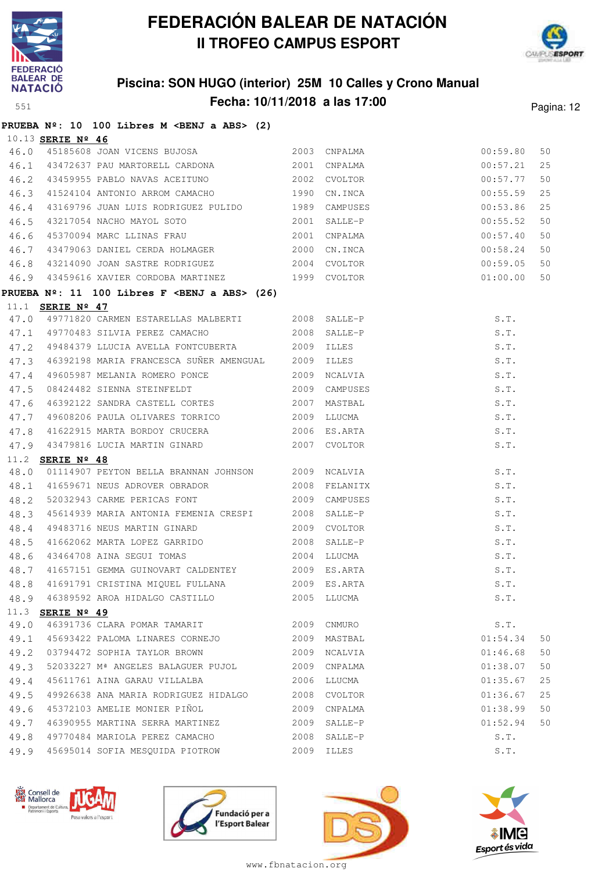



## **Piscina: SON HUGO (interior) 25M 10 Calles y Crono Manual Fecha: 10/11/2018 a las 17:00** Pagina: 12

|      |                         | PRUEBA Nº: 10 100 Libres M <benj a="" abs=""> (2)</benj>                                                                       |      |                                                                              |          |    |
|------|-------------------------|--------------------------------------------------------------------------------------------------------------------------------|------|------------------------------------------------------------------------------|----------|----|
|      | 10.13 SERIE Nº 46       |                                                                                                                                |      |                                                                              |          |    |
| 46.0 |                         | 45185608 JOAN VICENS BUJOSA                                                                                                    |      | 2003 CNPALMA                                                                 | 00:59.80 | 50 |
|      |                         | 46.1 43472637 PAU MARTORELL CARDONA 2001 CNPALMA                                                                               |      |                                                                              | 00:57.21 | 25 |
|      |                         | 46.2 43459955 PABLO NAVAS ACEITUNO 2002 CVOLTOR                                                                                |      |                                                                              | 00:57.77 | 50 |
| 46.3 |                         | 41524104 ANTONIO ARROM CAMACHO<br>43169796 JUAN LUIS RODRIGUEZ PULIDO 1989 CAMPUSES 00:55.86<br>41524104 ANTONIO ARROM CAMACHO |      |                                                                              |          | 25 |
| 46.4 |                         |                                                                                                                                |      |                                                                              |          | 25 |
| 46.5 |                         | 43217054 NACHO MAYOL SOTO 2001 SALLE-P                                                                                         |      |                                                                              | 00:55.52 | 50 |
| 46.6 |                         | 45370094 MARC LLINAS FRAU 2001 CNPALMA                                                                                         |      |                                                                              | 00:57.40 | 50 |
| 46.7 |                         | 43479063 DANIEL CERDA HOLMAGER 2000 CN.INCA                                                                                    |      |                                                                              | 00:58.24 | 50 |
| 46.8 |                         | 43214090 JOAN SASTRE RODRIGUEZ 2004 CVOLTOR 2004 CONTENTS 00:59.05                                                             |      |                                                                              |          | 50 |
|      |                         | 46.9 43459616 XAVIER CORDOBA MARTINEZ 1999 CVOLTOR                                                                             |      |                                                                              | 01:00.00 | 50 |
|      |                         | PRUEBA $N^{\circ}$ : 11 100 Libres F <benj a="" abs=""> (26)</benj>                                                            |      |                                                                              |          |    |
|      | 11.1 <b>SERIE Nº 47</b> |                                                                                                                                |      |                                                                              |          |    |
|      |                         | 47.0 49771820 CARMEN ESTARELLAS MALBERTI 2008 SALLE-P<br>47.1 49770483 SILVIA PEREZ CAMACHO 2008 SALLE-P                       |      |                                                                              | S.T.     |    |
|      |                         |                                                                                                                                |      |                                                                              | S.T.     |    |
| 47.2 |                         | 49484379 LLUCIA AVELLA FONTCUBERTA 2009 ILLES                                                                                  |      |                                                                              |          |    |
| 47.3 |                         | 46392198 MARIA FRANCESCA SUÑER AMENGUAL 2009 ILLES                                                                             |      |                                                                              |          |    |
| 47.4 |                         | 49605987 MELANIA ROMERO PONCE                                                                                                  |      | 2009 NCALVIA                                                                 |          |    |
| 47.5 |                         | 08424482 SIENNA STEINFELDT 2009 CAMPUSES                                                                                       |      |                                                                              |          |    |
| 47.6 |                         | 46392122 SANDRA CASTELL CORTES 2007 MASTBAL                                                                                    |      |                                                                              |          |    |
| 47.7 |                         | 49608206 PAULA OLIVARES TORRICO                                                                                                |      | 2009 LLUCMA                                                                  |          |    |
| 47.8 |                         | 41622915 MARTA BORDOY CRUCERA 2006                                                                                             |      | ES.ARTA                                                                      |          |    |
| 47.9 |                         |                                                                                                                                |      | S.T.<br>S.T.<br>S.T.<br>S.T.<br>S.T.<br>S.T.<br>S.T.<br>S.T.<br>S.T.<br>S.T. |          |    |
|      | 11.2 SERIE Nº 48        |                                                                                                                                |      |                                                                              |          |    |
| 48.0 |                         | 01114907 PEYTON BELLA BRANNAN JOHNSON 2009 NCALVIA                                                                             |      |                                                                              | S.T.     |    |
| 48.1 |                         | 41659671 NEUS ADROVER OBRADOR                                                                                                  |      | 2008 FELANITX                                                                | S.T.     |    |
| 48.2 |                         | 52032943 CARME PERICAS FONT 2009 CAMPUSES                                                                                      |      |                                                                              | S.T.     |    |
| 48.3 |                         | 45614939 MARIA ANTONIA FEMENIA CRESPI 2008 SALLE-P                                                                             |      |                                                                              | S.T.     |    |
| 48.4 |                         | 49483716 NEUS MARTIN GINARD 2009 CVOLTOR                                                                                       |      |                                                                              | S.T.     |    |
| 48.5 |                         | 41662062 MARTA LOPEZ GARRIDO                                                                                                   |      | 2008 SALLE-P                                                                 | S.T.     |    |
|      |                         | 48.6 43464708 AINA SEGUI TOMAS 2004 LLUCMA                                                                                     |      |                                                                              | S.T.     |    |
| 48.7 |                         | 41657151 GEMMA GUINOVART CALDENTEY 2009 ES.ARTA                                                                                |      |                                                                              | S.T.     |    |
|      |                         | 48.8 41691791 CRISTINA MIQUEL FULLANA 2009 ES.ARTA S.T.                                                                        |      |                                                                              |          |    |
| 48.9 |                         | 46389592 AROA HIDALGO CASTILLO                                                                                                 |      | 2005 LLUCMA                                                                  | S.T.     |    |
|      | 11.3 SERIE Nº 49        |                                                                                                                                |      |                                                                              |          |    |
| 49.0 |                         | 46391736 CLARA POMAR TAMARIT                                                                                                   |      | 2009 CNMURO                                                                  | S.T.     |    |
| 49.1 |                         | 45693422 PALOMA LINARES CORNEJO                                                                                                |      | 2009 MASTBAL                                                                 | 01:54.34 | 50 |
| 49.2 |                         | 03794472 SOPHIA TAYLOR BROWN                                                                                                   |      | 2009 NCALVIA                                                                 | 01:46.68 | 50 |
| 49.3 |                         | 52033227 Mª ANGELES BALAGUER PUJOL                                                                                             |      | 2009 CNPALMA                                                                 | 01:38.07 | 50 |
| 49.4 |                         | 45611761 AINA GARAU VILLALBA                                                                                                   |      | 2006 LLUCMA                                                                  | 01:35.67 | 25 |
| 49.5 |                         | 49926638 ANA MARIA RODRIGUEZ HIDALGO                                                                                           |      | 2008 CVOLTOR                                                                 | 01:36.67 | 25 |
| 49.6 |                         | 45372103 AMELIE MONIER PIÑOL                                                                                                   |      | 2009 CNPALMA                                                                 | 01:38.99 | 50 |
| 49.7 |                         | 46390955 MARTINA SERRA MARTINEZ                                                                                                |      | 2009 SALLE-P                                                                 | 01:52.94 | 50 |
| 49.8 |                         | 49770484 MARIOLA PEREZ CAMACHO                                                                                                 | 2008 | SALLE-P                                                                      | S.T.     |    |
| 49.9 |                         | 45695014 SOFIA MESQUIDA PIOTROW                                                                                                |      | 2009 ILLES                                                                   | S.T.     |    |







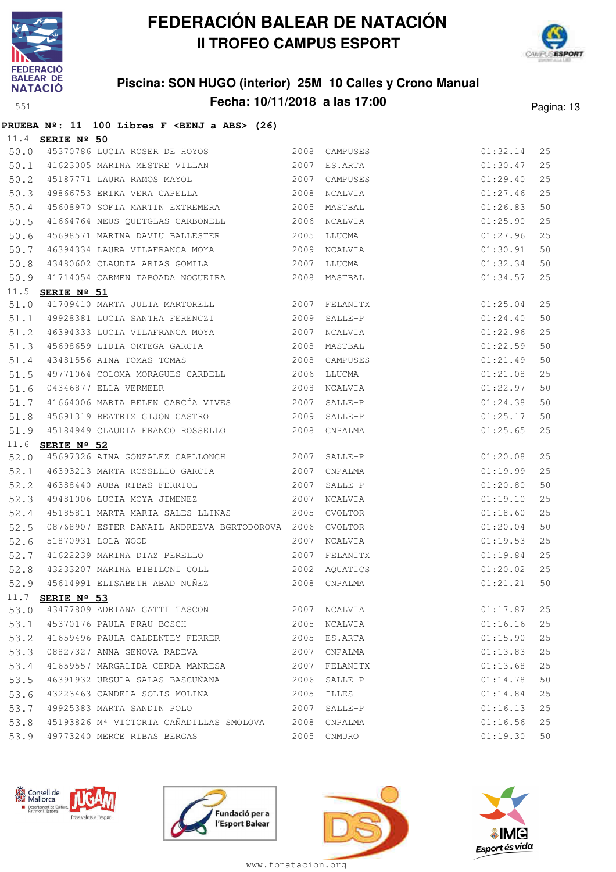

**PRUEBA Nº: 11 100 Libres F <BENJ a ABS> (26)**

## **FEDERACIÓN BALEAR DE NATACIÓN II TROFEO CAMPUS ESPORT**



## **Piscina: SON HUGO (interior) 25M 10 Calles y Crono Manual Fecha: 10/11/2018 a las 17:00** Pagina: 13

| 11.4 | SERIE Nº 50             |                                                                                 |      |               |          |    |
|------|-------------------------|---------------------------------------------------------------------------------|------|---------------|----------|----|
| 50.0 |                         |                                                                                 |      |               | 01:32.14 | 25 |
|      |                         | 50.1 41623005 MARINA MESTRE VILLAN 2007<br>50.2 45187771 LAURA RAMOS MAYOL 2007 |      | 2007 ES.ARTA  | 01:30.47 | 25 |
|      |                         |                                                                                 |      | CAMPUSES      | 01:29.40 | 25 |
| 50.3 |                         | 49866753 ERIKA VERA CAPELLA 2008                                                |      | NCALVIA       | 01:27.46 | 25 |
| 50.4 |                         | 45608970 SOFIA MARTIN EXTREMERA 2005 MASTBAL                                    |      |               | 01:26.83 | 50 |
| 50.5 |                         | 41664764 NEUS QUETGLAS CARBONELL 2006 NCALVIA                                   |      |               | 01:25.90 | 25 |
| 50.6 |                         | 45698571 MARINA DAVIU BALLESTER 2005                                            |      | LLUCMA        | 01:27.96 | 25 |
| 50.7 |                         | 46394334 LAURA VILAFRANCA MOYA 2009                                             |      | NCALVIA       | 01:30.91 | 50 |
| 50.8 |                         | 2007<br>43480602 CLAUDIA ARIAS GOMILA                                           |      | LLUCMA        | 01:32.34 | 50 |
| 50.9 |                         | 41714054 CARMEN TABOADA NOGUEIRA 2008 MASTBAL                                   |      |               | 01:34.57 | 25 |
|      | 11.5 <b>SERIE Nº 51</b> |                                                                                 |      |               |          |    |
| 51.0 |                         | 41709410 MARTA JULIA MARTORELL 2007 FELANITX                                    |      |               | 01:25.04 | 25 |
|      |                         | 51.1 49928381 LUCIA SANTHA FERENCZI 2009                                        |      | SALLE-P       | 01:24.40 | 50 |
|      |                         | 51.2 46394333 LUCIA VILAFRANCA MOYA                                             |      | 2007 NCALVIA  | 01:22.96 | 25 |
| 51.3 |                         | 45698659 LIDIA ORTEGA GARCIA                                                    |      | 2008 MASTBAL  | 01:22.59 | 50 |
| 51.4 |                         | 43481556 AINA TOMAS TOMAS 2008                                                  |      | CAMPUSES      | 01:21.49 | 50 |
| 51.5 |                         | 49771064 COLOMA MORAGUES CARDELL 2006                                           |      | LLUCMA        | 01:21.08 | 25 |
| 51.6 |                         | 2008 NCALVIA<br>04346877 ELLA VERMEER                                           |      |               | 01:22.97 | 50 |
| 51.7 |                         | 41664006 MARIA BELEN GARCÍA VIVES 2007                                          |      | SALLE-P       | 01:24.38 | 50 |
|      |                         |                                                                                 |      |               |          | 50 |
| 51.8 |                         | 45691319 BEATRIZ GIJON CASTRO 2009                                              |      | SALLE-P       | 01:25.17 |    |
| 51.9 |                         | 45184949 CLAUDIA FRANCO ROSSELLO 2008 CNPALMA                                   |      |               | 01:25.65 | 25 |
|      | 11.6 <b>SERIE Nº 52</b> |                                                                                 |      |               |          |    |
| 52.0 |                         | 45697326 AINA GONZALEZ CAPLLONCH 2007 SALLE-P                                   |      |               | 01:20.08 | 25 |
|      |                         | 52.1 46393213 MARTA ROSSELLO GARCIA 2007                                        |      | CNPALMA       | 01:19.99 | 25 |
| 52.2 |                         | 46388440 AUBA RIBAS FERRIOL 2007                                                |      | SALLE-P       | 01:20.80 | 50 |
| 52.3 |                         | 49481006 LUCIA MOYA JIMENEZ 2007                                                |      | NCALVIA       | 01:19.10 | 25 |
| 52.4 |                         | 45185811 MARTA MARIA SALES LLINAS                                               | 2005 | CVOLTOR       | 01:18.60 | 25 |
| 52.5 |                         | 08768907 ESTER DANAIL ANDREEVA BGRTODOROVA 2006                                 |      | CVOLTOR       | 01:20.04 | 50 |
| 52.6 |                         | 51870931 LOLA WOOD                                                              | 2007 | NCALVIA       | 01:19.53 | 25 |
| 52.7 |                         | 41622239 MARINA DIAZ PERELLO 2007 FELANITX                                      |      |               | 01:19.84 | 25 |
| 52.8 |                         | 43233207 MARINA BIBILONI COLL                                                   |      | 2002 AQUATICS | 01:20.02 | 25 |
| 52.9 |                         | 45614991 ELISABETH ABAD NUÑEZ 2008 CNPALMA                                      |      |               | 01:21.21 | 50 |
|      |                         | 11.7 SERIE Nº 53                                                                |      |               |          |    |
|      |                         | 53.0 43477809 ADRIANA GATTI TASCON                                              |      | 2007 NCALVIA  | 01:17.87 | 25 |
|      |                         | 53.1 45370176 PAULA FRAU BOSCH                                                  |      | 2005 NCALVIA  | 01:16.16 | 25 |
|      |                         | 53.2 41659496 PAULA CALDENTEY FERRER 2005 ES.ARTA                               |      |               | 01:15.90 | 25 |
| 53.3 |                         | 08827327 ANNA GENOVA RADEVA 2007 CNPALMA                                        |      |               | 01:13.83 | 25 |
| 53.4 |                         | 41659557 MARGALIDA CERDA MANRESA 2007 FELANITX                                  |      |               | 01:13.68 | 25 |
| 53.5 |                         | 46391932 URSULA SALAS BASCUÑANA (2006 SALLE-P                                   |      |               | 01:14.78 | 50 |
| 53.6 |                         | 43223463 CANDELA SOLIS MOLINA 2005 ILLES                                        |      |               | 01:14.84 | 25 |
| 53.7 |                         | 49925383 MARTA SANDIN POLO<br>2007 SALLE-P                                      |      |               | 01:16.13 | 25 |
|      |                         | 53.8 45193826 Mª VICTORIA CAÑADILLAS SMOLOVA 2008 CNPALMA                       |      |               | 01:16.56 | 25 |







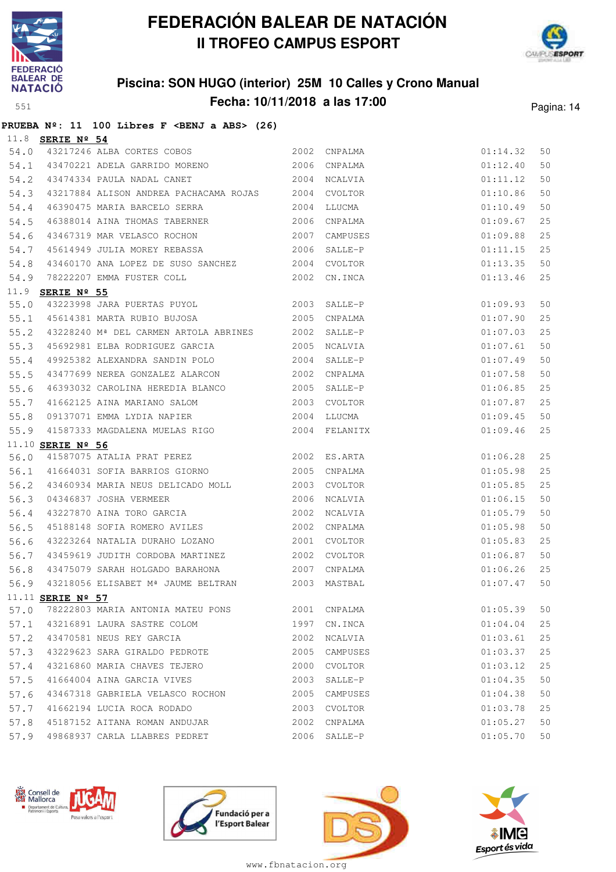



## **Piscina: SON HUGO (interior) 25M 10 Calles y Crono Manual Fecha: 10/11/2018 a las 17:00** Pagina: 14

|                    |  | PRUEBA Nº: 11 100 Libres F <benj a="" abs=""> (26)</benj> |  |  |  |
|--------------------|--|-----------------------------------------------------------|--|--|--|
| $11.8$ SERIE Nº 54 |  |                                                           |  |  |  |

| 54.0 |                         |                                                                                                                  |             |                                                      |                                                        | 50 |
|------|-------------------------|------------------------------------------------------------------------------------------------------------------|-------------|------------------------------------------------------|--------------------------------------------------------|----|
| 54.1 |                         |                                                                                                                  |             |                                                      |                                                        | 50 |
| 54.2 |                         | 43474334 PAULA NADAL CANET 2004 NCALVIA                                                                          |             |                                                      |                                                        | 50 |
| 54.3 |                         | 43217884 ALISON ANDREA PACHACAMA ROJAS 2004 CVOLTOR                                                              |             | $01:14.32$<br>$01:12.40$<br>$01:11.12$<br>$01:10.86$ |                                                        | 50 |
| 54.4 |                         | 46390475 MARIA BARCELO SERRA                                                                                     | 2004 LLUCMA |                                                      |                                                        | 50 |
| 54.5 |                         | 46388014 AINA THOMAS TABERNER<br>2006 CNPALMA                                                                    |             | $01:10.49$<br>$01:09.67$                             |                                                        | 25 |
| 54.6 |                         | 43467319 MAR VELASCO ROCHON 2007 CAMPUSES                                                                        |             | 01:09.88                                             |                                                        | 25 |
| 54.7 |                         | 45614949 JULIA MOREY REBASSA 2006                                                                                |             | SALLE-P                                              | 01:11.15                                               | 25 |
| 54.8 |                         | 43460170 ANA LOPEZ DE SUSO SANCHEZ 2004 CVOLTOR                                                                  |             |                                                      | 01:13.35                                               | 50 |
| 54.9 |                         | 78222207 EMMA FUSTER COLL 2002 CN.INCA                                                                           |             |                                                      | 01:13.46                                               | 25 |
|      | 11.9 <b>SERIE Nº 55</b> |                                                                                                                  |             |                                                      |                                                        |    |
| 55.0 |                         | 43223998 JARA PUERTAS PUYOL 2003                                                                                 |             | SALLE-P                                              | 01:09.93                                               | 50 |
|      |                         | 55.1 45614381 MARTA RUBIO BUJOSA 2005 CNPALMA                                                                    |             |                                                      | 01:07.90                                               | 25 |
|      |                         | 55.2 43228240 M <sup>ª</sup> DEL CARMEN ARTOLA ABRINES 2002 SALLE-P                                              |             |                                                      | $01$ :07.03                                            | 25 |
| 55.3 |                         | 45692981 ELBA RODRIGUEZ GARCIA 2005 NCALVIA                                                                      |             |                                                      | 01:07.61                                               | 50 |
| 55.4 |                         | 49925382 ALEXANDRA SANDIN POLO 2004                                                                              |             | SALLE-P                                              | 01:07.49                                               | 50 |
| 55.5 |                         | 43477699 NEREA GONZALEZ ALARCON 2002                                                                             |             | CNPALMA                                              | 01:07.58                                               | 50 |
| 55.6 |                         | 46393032 CAROLINA HEREDIA BLANCO 2005                                                                            |             | SALLE-P                                              | 01:06.85                                               | 25 |
| 55.7 |                         | 41662125 AINA MARIANO SALOM 2003 CVOLTOR                                                                         |             | 01:07.87                                             |                                                        | 25 |
| 55.8 |                         | 09137071 EMMA LYDIA NAPIER 2004 LLUCMA                                                                           |             | $01:09.45$<br>$01:09.46$                             |                                                        | 50 |
|      |                         | 55.9 41587333 MAGDALENA MUELAS RIGO 2004 FELANITX                                                                |             |                                                      |                                                        | 25 |
|      | 11.10 SERIE Nº 56       |                                                                                                                  |             |                                                      |                                                        |    |
|      |                         | 56.0 41587075 ATALIA PRAT PEREZ 2002 ES.ARTA                                                                     |             | $01:06.28$<br>$01:05.98$                             |                                                        | 25 |
|      |                         | 56.1 41664031 SOFIA BARRIOS GIORNO 2005 CNPALMA                                                                  |             |                                                      |                                                        | 25 |
| 56.2 |                         |                                                                                                                  |             |                                                      | 01:05.85                                               | 25 |
| 56.3 |                         | 19400994 FIANIA NEO SERVICE NO.<br>04346837 JOSHA VERMEER 2006 NCALVIA<br>43227870 AINA TORO GARCIA 2002 NCALVIA |             |                                                      | 01:06.15                                               | 50 |
| 56.4 |                         |                                                                                                                  |             |                                                      | 01:05.79                                               | 50 |
| 56.5 |                         | 45188148 SOFIA ROMERO AVILES 2002 CNPALMA                                                                        |             |                                                      | 01:05.98                                               | 50 |
| 56.6 |                         |                                                                                                                  |             | 01:05.83                                             |                                                        | 25 |
|      |                         | 56.7 43459619 JUDITH CORDOBA MARTINEZ 2002 CVOLTOR                                                               |             |                                                      | 01:06.87                                               | 50 |
| 56.8 |                         | 43475079 SARAH HOLGADO BARAHONA 2007 CNPALMA                                                                     |             |                                                      | 01:06.26                                               | 25 |
|      |                         | 56.9 43218056 ELISABET Mª JAUME BELTRAN 2003 MASTBAL                                                             |             |                                                      | $01\textcolor{black}{:\,}07\,\textcolor{black}{.\,}47$ | 50 |
|      | 11.11 SERIE Nº 57       |                                                                                                                  |             |                                                      |                                                        |    |
|      |                         | 11.11 <u>SEKIE N<sup>2</sup> SI</u><br>57.0 78222803 MARIA ANTONIA MATEU PONS 2001 CNPALMA 600 11.05.39 50       |             |                                                      |                                                        |    |
|      |                         | 57.1 43216891 LAURA SASTRE COLOM                                                                                 |             | 1997 CN.INCA                                         | 01:04.04                                               | 25 |
|      |                         | 57.2 43470581 NEUS REY GARCIA                                                                                    |             | 2002 NCALVIA                                         | 01:03.61                                               | 25 |
|      |                         | 57.3 43229623 SARA GIRALDO PEDROTE 2005 CAMPUSES                                                                 |             |                                                      | 01:03.37                                               | 25 |
| 57.4 |                         | 43216860 MARIA CHAVES TEJERO 2000                                                                                |             | CVOLTOR                                              | 01:03.12                                               | 25 |
| 57.5 |                         | 41664004 AINA GARCIA VIVES                                                                                       | 2003        | SALLE-P                                              | 01:04.35                                               | 50 |
| 57.6 |                         | 43467318 GABRIELA VELASCO ROCHON 2005 CAMPUSES                                                                   |             |                                                      | 01:04.38                                               | 50 |
| 57.7 |                         | 41662194 LUCIA ROCA RODADO<br>2003 CVOLTOR                                                                       |             |                                                      | 01:03.78                                               | 25 |
|      |                         | 57.8 45187152 AITANA ROMAN ANDUJAR                                                                               |             | 2002 CNPALMA                                         | 01:05.27                                               | 50 |
|      |                         | 57.9 49868937 CARLA LLABRES PEDRET                                                                               |             |                                                      |                                                        |    |